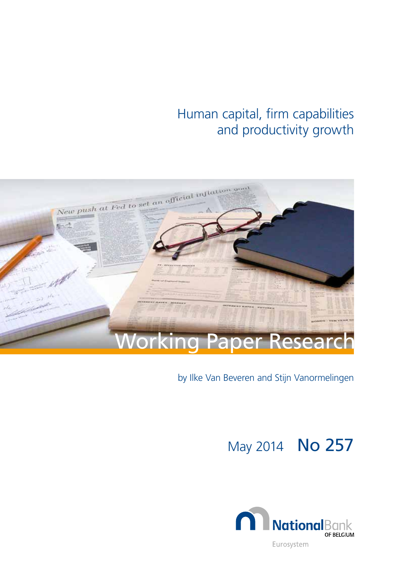# Human capital, firm capabilities and productivity growth



# by Ilke Van Beveren and Stijn Vanormelingen

May 2014 No 257

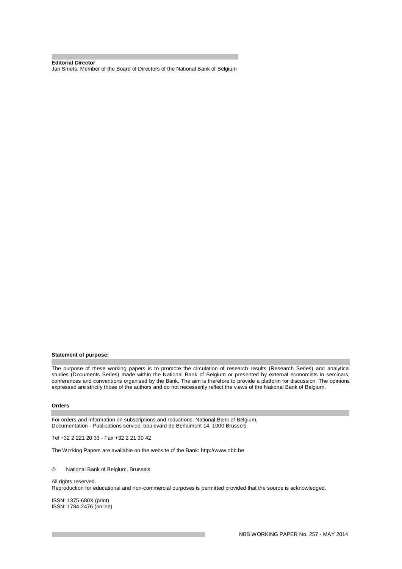**Editorial Director**  Jan Smets, Member of the Board of Directors of the National Bank of Belgium

#### **Statement of purpose:**

The purpose of these working papers is to promote the circulation of research results (Research Series) and analytical studies (Documents Series) made within the National Bank of Belgium or presented by external economists in seminars, conferences and conventions organised by the Bank. The aim is therefore to provide a platform for discussion. The opinions expressed are strictly those of the authors and do not necessarily reflect the views of the National Bank of Belgium.

#### **Orders**

For orders and information on subscriptions and reductions: National Bank of Belgium, Documentation - Publications service, boulevard de Berlaimont 14, 1000 Brussels

Tel +32 2 221 20 33 - Fax +32 2 21 30 42

The Working Papers are available on the website of the Bank: http://www.nbb.be

© National Bank of Belgium, Brussels

All rights reserved. Reproduction for educational and non-commercial purposes is permitted provided that the source is acknowledged.

ISSN: 1375-680X (print) ISSN: 1784-2476 (online)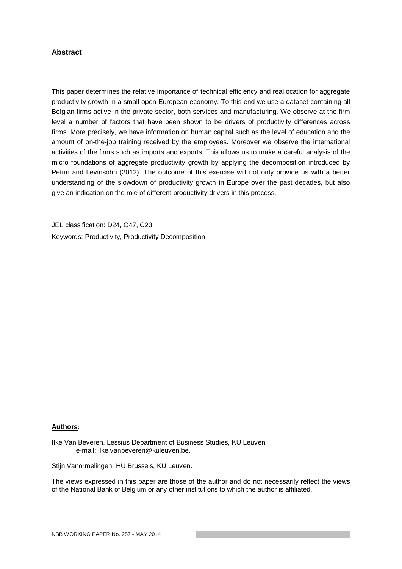### **Abstract**

This paper determines the relative importance of technical efficiency and reallocation for aggregate productivity growth in a small open European economy. To this end we use a dataset containing all Belgian firms active in the private sector, both services and manufacturing. We observe at the firm level a number of factors that have been shown to be drivers of productivity differences across firms. More precisely, we have information on human capital such as the level of education and the amount of on-the-job training received by the employees. Moreover we observe the international activities of the firms such as imports and exports. This allows us to make a careful analysis of the micro foundations of aggregate productivity growth by applying the decomposition introduced by Petrin and Levinsohn (2012). The outcome of this exercise will not only provide us with a better understanding of the slowdown of productivity growth in Europe over the past decades, but also give an indication on the role of different productivity drivers in this process.

JEL classification: D24, O47, C23. Keywords: Productivity, Productivity Decomposition.

#### **Authors:**

Ilke Van Beveren, Lessius Department of Business Studies, KU Leuven, e-mail: ilke.vanbeveren@kuleuven.be.

Stijn Vanormelingen, HU Brussels, KU Leuven.

The views expressed in this paper are those of the author and do not necessarily reflect the views of the National Bank of Belgium or any other institutions to which the author is affiliated.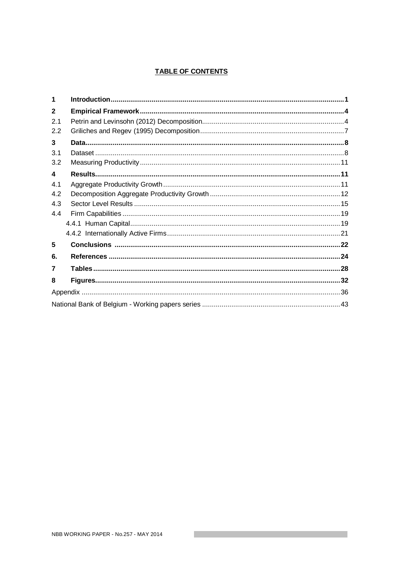# **TABLE OF CONTENTS**

| 1              |  |
|----------------|--|
| $\overline{2}$ |  |
| 2.1            |  |
| 2.2            |  |
| 3              |  |
| 3.1            |  |
| 3.2            |  |
| 4              |  |
| 4.1            |  |
| 4.2            |  |
| 4.3            |  |
| 4.4            |  |
|                |  |
|                |  |
| 5              |  |
| 6.             |  |
| 7              |  |
| 8              |  |
|                |  |
|                |  |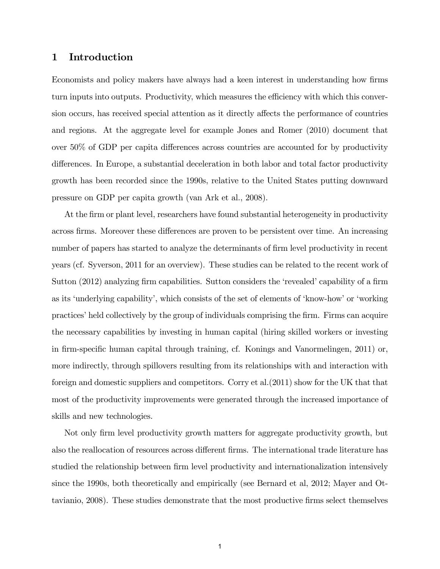# 1 Introduction

Economists and policy makers have always had a keen interest in understanding how firms turn inputs into outputs. Productivity, which measures the efficiency with which this conversion occurs, has received special attention as it directly affects the performance of countries and regions. At the aggregate level for example Jones and Romer (2010) document that over  $50\%$  of GDP per capita differences across countries are accounted for by productivity differences. In Europe, a substantial deceleration in both labor and total factor productivity growth has been recorded since the 1990s, relative to the United States putting downward pressure on GDP per capita growth (van Ark et al., 2008).

At the firm or plant level, researchers have found substantial heterogeneity in productivity across firms. Moreover these differences are proven to be persistent over time. An increasing number of papers has started to analyze the determinants of firm level productivity in recent years (cf. Syverson, 2011 for an overview). These studies can be related to the recent work of Sutton (2012) analyzing firm capabilities. Sutton considers the 'revealed' capability of a firm as its 'underlying capability', which consists of the set of elements of 'know-how' or 'working practices' held collectively by the group of individuals comprising the firm. Firms can acquire the necessary capabilities by investing in human capital (hiring skilled workers or investing in firm-specific human capital through training, cf. Konings and Vanormelingen, 2011) or, more indirectly, through spillovers resulting from its relationships with and interaction with foreign and domestic suppliers and competitors. Corry et al.(2011) show for the UK that that most of the productivity improvements were generated through the increased importance of skills and new technologies.

Not only firm level productivity growth matters for aggregate productivity growth, but also the reallocation of resources across different firms. The international trade literature has studied the relationship between firm level productivity and internationalization intensively since the 1990s, both theoretically and empirically (see Bernard et al, 2012; Mayer and Ottavianio, 2008). These studies demonstrate that the most productive firms select themselves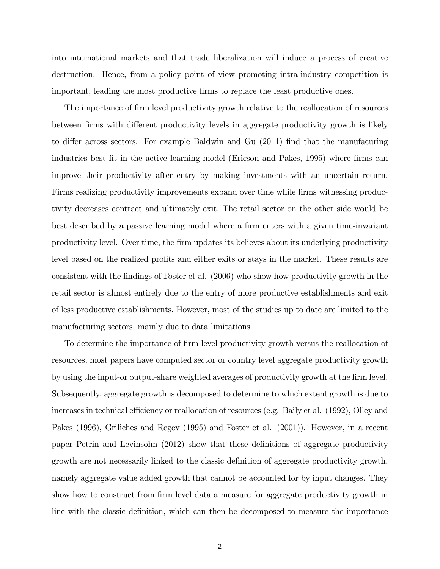into international markets and that trade liberalization will induce a process of creative destruction. Hence, from a policy point of view promoting intra-industry competition is important, leading the most productive firms to replace the least productive ones.

The importance of firm level productivity growth relative to the reallocation of resources between firms with different productivity levels in aggregate productivity growth is likely to differ across sectors. For example Baldwin and Gu  $(2011)$  find that the manufacuring industries best fit in the active learning model (Ericson and Pakes, 1995) where firms can improve their productivity after entry by making investments with an uncertain return. Firms realizing productivity improvements expand over time while firms witnessing productivity decreases contract and ultimately exit. The retail sector on the other side would be best described by a passive learning model where a firm enters with a given time-invariant productivity level. Over time, the Örm updates its believes about its underlying productivity level based on the realized profits and either exits or stays in the market. These results are consistent with the Öndings of Foster et al. (2006) who show how productivity growth in the retail sector is almost entirely due to the entry of more productive establishments and exit of less productive establishments. However, most of the studies up to date are limited to the manufacturing sectors, mainly due to data limitations.

To determine the importance of firm level productivity growth versus the reallocation of resources, most papers have computed sector or country level aggregate productivity growth by using the input-or output-share weighted averages of productivity growth at the firm level. Subsequently, aggregate growth is decomposed to determine to which extent growth is due to increases in technical efficiency or reallocation of resources (e.g. Baily et al. (1992), Olley and Pakes (1996), Griliches and Regev (1995) and Foster et al. (2001)). However, in a recent paper Petrin and Levinsohn (2012) show that these definitions of aggregate productivity growth are not necessarily linked to the classic definition of aggregate productivity growth, namely aggregate value added growth that cannot be accounted for by input changes. They show how to construct from firm level data a measure for aggregate productivity growth in line with the classic definition, which can then be decomposed to measure the importance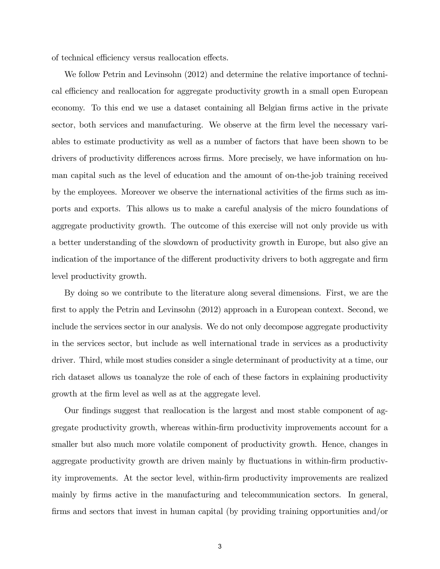of technical efficiency versus reallocation effects.

We follow Petrin and Levinsohn (2012) and determine the relative importance of technical efficiency and reallocation for aggregate productivity growth in a small open European economy. To this end we use a dataset containing all Belgian firms active in the private sector, both services and manufacturing. We observe at the firm level the necessary variables to estimate productivity as well as a number of factors that have been shown to be drivers of productivity differences across firms. More precisely, we have information on human capital such as the level of education and the amount of on-the-job training received by the employees. Moreover we observe the international activities of the firms such as imports and exports. This allows us to make a careful analysis of the micro foundations of aggregate productivity growth. The outcome of this exercise will not only provide us with a better understanding of the slowdown of productivity growth in Europe, but also give an indication of the importance of the different productivity drivers to both aggregate and firm level productivity growth.

By doing so we contribute to the literature along several dimensions. First, we are the first to apply the Petrin and Levinsohn (2012) approach in a European context. Second, we include the services sector in our analysis. We do not only decompose aggregate productivity in the services sector, but include as well international trade in services as a productivity driver. Third, while most studies consider a single determinant of productivity at a time, our rich dataset allows us toanalyze the role of each of these factors in explaining productivity growth at the firm level as well as at the aggregate level.

Our findings suggest that reallocation is the largest and most stable component of aggregate productivity growth, whereas within-Örm productivity improvements account for a smaller but also much more volatile component of productivity growth. Hence, changes in aggregate productivity growth are driven mainly by fluctuations in within-firm productivity improvements. At the sector level, within-Örm productivity improvements are realized mainly by firms active in the manufacturing and telecommunication sectors. In general, firms and sectors that invest in human capital (by providing training opportunities and/or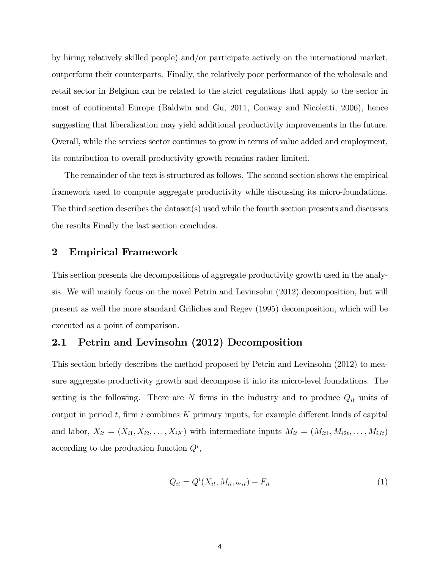by hiring relatively skilled people) and/or participate actively on the international market, outperform their counterparts. Finally, the relatively poor performance of the wholesale and retail sector in Belgium can be related to the strict regulations that apply to the sector in most of continental Europe (Baldwin and Gu, 2011, Conway and Nicoletti, 2006), hence suggesting that liberalization may yield additional productivity improvements in the future. Overall, while the services sector continues to grow in terms of value added and employment, its contribution to overall productivity growth remains rather limited.

The remainder of the text is structured as follows. The second section shows the empirical framework used to compute aggregate productivity while discussing its micro-foundations. The third section describes the dataset(s) used while the fourth section presents and discusses the results Finally the last section concludes.

### 2 Empirical Framework

This section presents the decompositions of aggregate productivity growth used in the analysis. We will mainly focus on the novel Petrin and Levinsohn (2012) decomposition, but will present as well the more standard Griliches and Regev (1995) decomposition, which will be executed as a point of comparison.

# 2.1 Petrin and Levinsohn (2012) Decomposition

This section briefly describes the method proposed by Petrin and Levinsohn (2012) to measure aggregate productivity growth and decompose it into its micro-level foundations. The setting is the following. There are  $N$  firms in the industry and to produce  $Q_{it}$  units of output in period t, firm i combines K primary inputs, for example different kinds of capital and labor,  $X_{it} = (X_{i1}, X_{i2}, \ldots, X_{iK})$  with intermediate inputs  $M_{it} = (M_{it1}, M_{i2t}, \ldots, M_{iJt})$ according to the production function  $Q^i$ ,

$$
Q_{it} = Q^{i}(X_{it}, M_{it}, \omega_{it}) - F_{it}
$$
\n<sup>(1)</sup>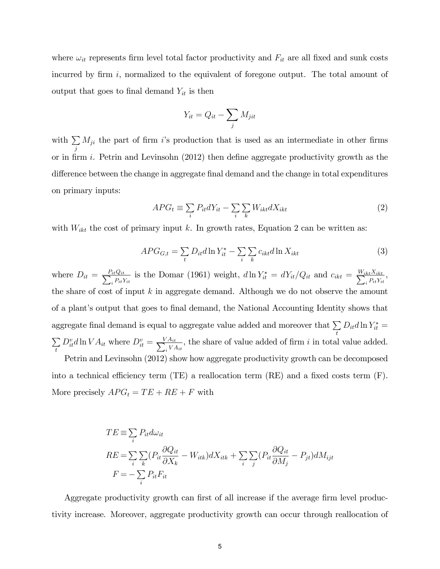where  $\omega_{it}$  represents firm level total factor productivity and  $F_{it}$  are all fixed and sunk costs incurred by firm  $i$ , normalized to the equivalent of foregone output. The total amount of output that goes to final demand  $Y_{it}$  is then

$$
Y_{it} = Q_{it} - \sum_{j} M_{jit}
$$

with  $\sum$ j  $M_{ji}$  the part of firm i's production that is used as an intermediate in other firms or in firm i. Petrin and Levinsohn  $(2012)$  then define aggregate productivity growth as the difference between the change in aggregate final demand and the change in total expenditures on primary inputs:

$$
APG_t \equiv \sum_i P_{it} dY_{it} - \sum_i \sum_k W_{ikt} dX_{ikt}
$$
\n<sup>(2)</sup>

with  $W_{ikt}$  the cost of primary input k. In growth rates, Equation 2 can be written as:

$$
APG_{G,t} = \sum_{t} D_{it} d \ln Y_{it}^* - \sum_{i} \sum_{k} c_{ikt} d \ln X_{ikt}
$$
\n(3)

where  $D_{it} = \frac{P_{it}Q_{it}}{\sum_{i} P_{it}}$  $i_t^{i} Q_{it} Q_{it}$  is the Domar (1961) weight,  $d \ln Y^*_{it} = dY_{it}/Q_{it}$  and  $c_{ikt} = \frac{W_{ikt} X_{ikt}}{\sum_i P_{it} Y_i}$  $\frac{k t^{X} i k t}{i}$ the share of cost of input  $k$  in aggregate demand. Although we do not observe the amount of a plantís output that goes to Önal demand, the National Accounting Identity shows that aggregate final demand is equal to aggregate value added and moreover that  $\sum$ t  $D_{it}d\ln Y^*_{it} =$  $\sum$ t  $D_{it}^v d \ln V A_{it}$  where  $D_{it}^v = \frac{VA_{it}}{\sum_{v} VA_{it}}$  $\frac{\sum_{i=1}^{N} A_{it}}{i}$ , the share of value added of firm i in total value added. Petrin and Levinsohn (2012) show how aggregate productivity growth can be decomposed into a technical efficiency term (TE) a reallocation term (RE) and a fixed costs term  $(F)$ .

More precisely  $APG_t = TE + RE + F$  with

$$
TE \equiv \sum_{i} P_{it} d\omega_{it}
$$
  
\n
$$
RE = \sum_{i} \sum_{k} (P_{it} \frac{\partial Q_{it}}{\partial X_k} - W_{itk}) dX_{itk} + \sum_{i} \sum_{j} (P_{it} \frac{\partial Q_{it}}{\partial M_j} - P_{jt}) dM_{ijt}
$$
  
\n
$$
F = -\sum_{i} P_{it} F_{it}
$$

Aggregate productivity growth can first of all increase if the average firm level productivity increase. Moreover, aggregate productivity growth can occur through reallocation of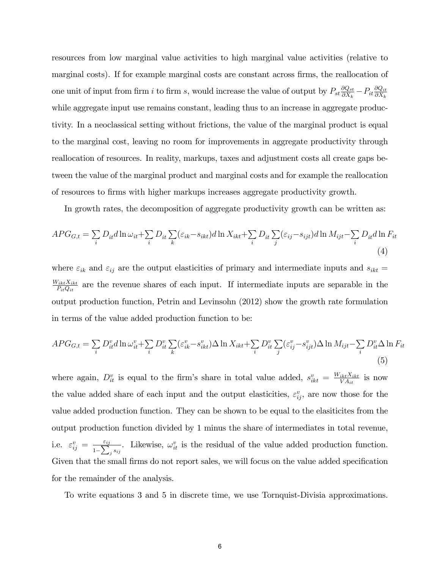resources from low marginal value activities to high marginal value activities (relative to marginal costs). If for example marginal costs are constant across firms, the reallocation of one unit of input from firm i to firm s, would increase the value of output by  $P_{st} \frac{\partial Q_{st}}{\partial X_k}$  $\frac{\partial Q_{st}}{\partial X_k} - P_{it} \frac{\partial Q_{it}}{\partial X_k}$  $\partial X_k$ while aggregate input use remains constant, leading thus to an increase in aggregate productivity. In a neoclassical setting without frictions, the value of the marginal product is equal to the marginal cost, leaving no room for improvements in aggregate productivity through reallocation of resources. In reality, markups, taxes and adjustment costs all create gaps between the value of the marginal product and marginal costs and for example the reallocation of resources to Örms with higher markups increases aggregate productivity growth.

In growth rates, the decomposition of aggregate productivity growth can be written as:

$$
APG_{G,t} = \sum_{i} D_{it} d \ln \omega_{it} + \sum_{i} D_{it} \sum_{k} (\varepsilon_{ik} - s_{ikt}) d \ln X_{ikt} + \sum_{i} D_{it} \sum_{j} (\varepsilon_{ij} - s_{ijt}) d \ln M_{ijt} - \sum_{i} D_{it} d \ln F_{it}
$$
\n(4)

where  $\varepsilon_{ik}$  and  $\varepsilon_{ij}$  are the output elasticities of primary and intermediate inputs and  $s_{ikt}$  =  $W_{ikt}X_{ikt}$  $\frac{\sum_{ikt} X_{ikt}}{P_{it} Q_{it}}$  are the revenue shares of each input. If intermediate inputs are separable in the output production function, Petrin and Levinsohn (2012) show the growth rate formulation in terms of the value added production function to be:

$$
APG_{G,t} = \sum_{i} D_{it}^v d \ln \omega_{it}^v + \sum_{i} D_{it}^v \sum_{k} (\varepsilon_{ik}^v - s_{ikt}^v) \Delta \ln X_{ikt} + \sum_{i} D_{it}^v \sum_{j} (\varepsilon_{ij}^v - s_{ijt}^v) \Delta \ln M_{ijt} - \sum_{i} D_{it}^v \Delta \ln F_{it}
$$
\n
$$
(5)
$$

where again,  $D_{it}^v$  is equal to the firm's share in total value added,  $s_{ikt}^v = \frac{W_{ikt}X_{ikt}}{VA_{it}}$  $\frac{iktX_{ikt}}{VA_{it}}$  is now the value added share of each input and the output elasticities,  $\varepsilon_{ij}^v$ , are now those for the value added production function. They can be shown to be equal to the elasiticites from the output production function divided by 1 minus the share of intermediates in total revenue, i.e.  $\varepsilon_{ij}^v = \frac{\varepsilon_{ij}}{1-\sum_{i=1}^{v} i_j}$  $\frac{\varepsilon_{ij}}{1-\sum_j s_{ij}}$ . Likewise,  $\omega_{it}^v$  is the residual of the value added production function. Given that the small firms do not report sales, we will focus on the value added specification for the remainder of the analysis.

To write equations 3 and 5 in discrete time, we use Tornquist-Divisia approximations.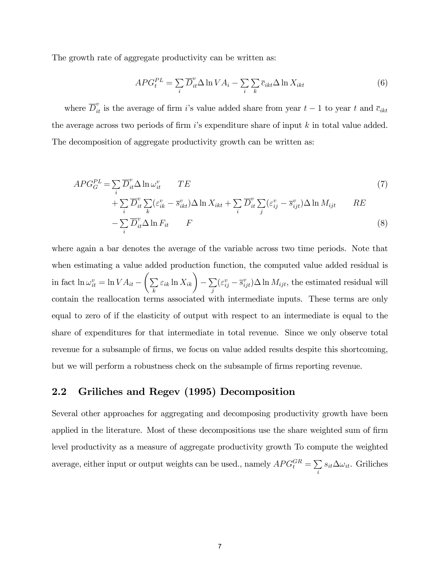The growth rate of aggregate productivity can be written as:

$$
APG_t^{PL} = \sum_i \overline{D}_{it}^v \Delta \ln V A_i - \sum_i \sum_k \overline{c}_{ikt} \Delta \ln X_{ikt}
$$
 (6)

where  $\overline{D}_{it}^v$  is the average of firm *i*'s value added share from year  $t-1$  to year  $t$  and  $\overline{c}_{ikt}$ the average across two periods of firm  $i$ 's expenditure share of input k in total value added. The decomposition of aggregate productivity growth can be written as:

$$
APG_G^{PL} = \sum_i \overline{D}_{it}^v \Delta \ln \omega_{it}^v \qquad TE
$$
\n<sup>(7)</sup>

$$
+ \sum_{i} \overline{D}_{it}^{v} \sum_{k} (\varepsilon_{ik}^{v} - \overline{s}_{ikt}^{v}) \Delta \ln X_{ikt} + \sum_{i} \overline{D}_{it}^{v} \sum_{j} (\varepsilon_{ij}^{v} - \overline{s}_{ijt}^{v}) \Delta \ln M_{ijt} \qquad RE
$$

$$
-\sum_{i} \overline{D}_{it}^v \Delta \ln F_{it} \qquad F \tag{8}
$$

where again a bar denotes the average of the variable across two time periods. Note that when estimating a value added production function, the computed value added residual is in fact  $\ln \omega_{it}^v = \ln VA_{it} - \left(\sum_{l}$ k  $\varepsilon_{ik} \ln X_{ik}$   $\Big) - \sum_{i}$ j  $(\varepsilon_{ij}^v - \overline{s}_{ijt}^v) \Delta \ln M_{ijt}$ , the estimated residual will contain the reallocation terms associated with intermediate inputs. These terms are only equal to zero of if the elasticity of output with respect to an intermediate is equal to the share of expenditures for that intermediate in total revenue. Since we only observe total revenue for a subsample of firms, we focus on value added results despite this shortcoming, but we will perform a robustness check on the subsample of firms reporting revenue.

# 2.2 Griliches and Regev (1995) Decomposition

Several other approaches for aggregating and decomposing productivity growth have been applied in the literature. Most of these decompositions use the share weighted sum of firm level productivity as a measure of aggregate productivity growth To compute the weighted average, either input or output weights can be used., namely  $APG_t^{GR} = \sum$ i  $s_{it} \Delta \omega_{it}$ . Griliches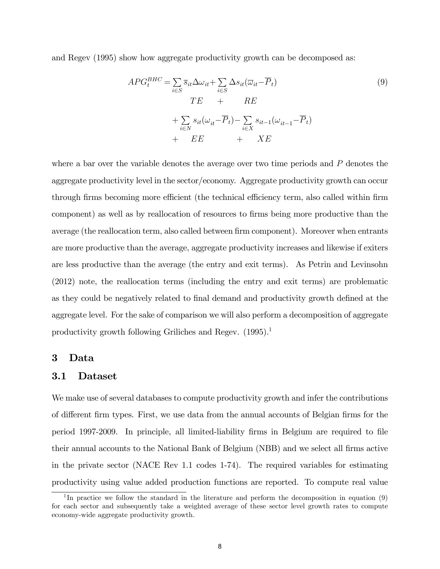and Regev (1995) show how aggregate productivity growth can be decomposed as:

$$
APG_t^{BHC} = \sum_{i \in S} \overline{s}_{it} \Delta \omega_{it} + \sum_{i \in S} \Delta s_{it} (\overline{\omega}_{it} - \overline{P}_t)
$$
  
\n
$$
TE + RE
$$
  
\n
$$
+ \sum_{i \in N} s_{it} (\omega_{it} - \overline{P}_t) - \sum_{i \in X} s_{it-1} (\omega_{it-1} - \overline{P}_t)
$$
  
\n
$$
+ EE + XE
$$
  
\n(9)

where a bar over the variable denotes the average over two time periods and  $P$  denotes the aggregate productivity level in the sector/economy. Aggregate productivity growth can occur through firms becoming more efficient (the technical efficiency term, also called within firm component) as well as by reallocation of resources to Örms being more productive than the average (the reallocation term, also called between firm component). Moreover when entrants are more productive than the average, aggregate productivity increases and likewise if exiters are less productive than the average (the entry and exit terms). As Petrin and Levinsohn (2012) note, the reallocation terms (including the entry and exit terms) are problematic as they could be negatively related to final demand and productivity growth defined at the aggregate level. For the sake of comparison we will also perform a decomposition of aggregate productivity growth following Griliches and Regev.  $(1995)^{1}$ 

### 3 Data

#### 3.1 Dataset

We make use of several databases to compute productivity growth and infer the contributions of different firm types. First, we use data from the annual accounts of Belgian firms for the period 1997-2009. In principle, all limited-liability Örms in Belgium are required to Öle their annual accounts to the National Bank of Belgium (NBB) and we select all firms active in the private sector (NACE Rev 1.1 codes 1-74). The required variables for estimating productivity using value added production functions are reported. To compute real value

<sup>&</sup>lt;sup>1</sup>In practice we follow the standard in the literature and perform the decomposition in equation (9) for each sector and subsequently take a weighted average of these sector level growth rates to compute economy-wide aggregate productivity growth.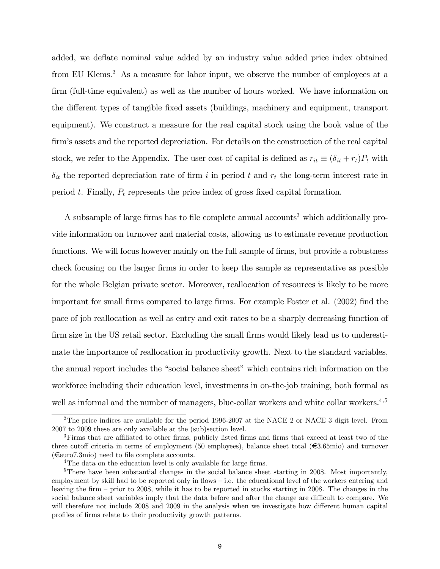added, we deflate nominal value added by an industry value added price index obtained from EU Klems.<sup>2</sup> As a measure for labor input, we observe the number of employees at a firm (full-time equivalent) as well as the number of hours worked. We have information on the different types of tangible fixed assets (buildings, machinery and equipment, transport equipment). We construct a measure for the real capital stock using the book value of the firm's assets and the reported depreciation. For details on the construction of the real capital stock, we refer to the Appendix. The user cost of capital is defined as  $r_{it} \equiv (\delta_{it} + r_t)P_t$  with  $\delta_{it}$  the reported depreciation rate of firm i in period t and  $r_t$  the long-term interest rate in period t. Finally,  $P_t$  represents the price index of gross fixed capital formation.

A subsample of large firms has to file complete annual accounts<sup>3</sup> which additionally provide information on turnover and material costs, allowing us to estimate revenue production functions. We will focus however mainly on the full sample of firms, but provide a robustness check focusing on the larger Örms in order to keep the sample as representative as possible for the whole Belgian private sector. Moreover, reallocation of resources is likely to be more important for small firms compared to large firms. For example Foster et al. (2002) find the pace of job reallocation as well as entry and exit rates to be a sharply decreasing function of firm size in the US retail sector. Excluding the small firms would likely lead us to underestimate the importance of reallocation in productivity growth. Next to the standard variables, the annual report includes the "social balance sheet" which contains rich information on the workforce including their education level, investments in on-the-job training, both formal as well as informal and the number of managers, blue-collar workers and white collar workers.<sup>4,5</sup>

<sup>&</sup>lt;sup>2</sup>The price indices are available for the period 1996-2007 at the NACE 2 or NACE 3 digit level. From 2007 to 2009 these are only available at the (sub)section level.

<sup>&</sup>lt;sup>3</sup>Firms that are affiliated to other firms, publicly listed firms and firms that exceed at least two of the three cutoff criteria in terms of employment (50 employees), balance sheet total  $(\epsilon \in 3.65$ mio) and turnover  $(\epsilon_{\text{euro7.3mic}})$  need to file complete accounts.

<sup>&</sup>lt;sup>4</sup>The data on the education level is only available for large firms.

<sup>&</sup>lt;sup>5</sup>There have been substantial changes in the social balance sheet starting in 2008. Most importantly, employment by skill had to be reported only in flows  $-$  i.e. the educational level of the workers entering and leaving the firm  $-$  prior to 2008, while it has to be reported in stocks starting in 2008. The changes in the social balance sheet variables imply that the data before and after the change are difficult to compare. We will therefore not include 2008 and 2009 in the analysis when we investigate how different human capital profiles of firms relate to their productivity growth patterns.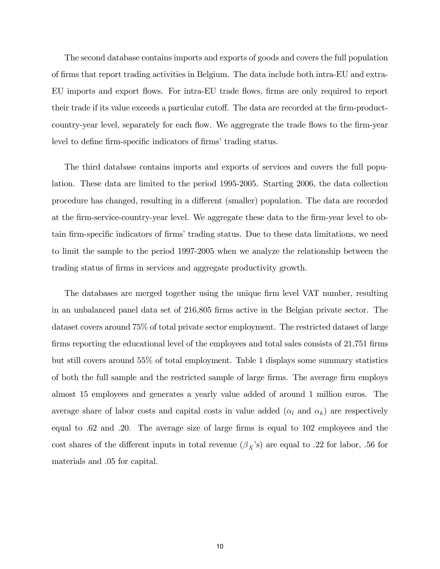The second database contains imports and exports of goods and covers the full population of Örms that report trading activities in Belgium. The data include both intra-EU and extra-EU imports and export flows. For intra-EU trade flows, firms are only required to report their trade if its value exceeds a particular cutoff. The data are recorded at the firm-productcountry-year level, separately for each flow. We aggregrate the trade flows to the firm-year level to define firm-specific indicators of firms' trading status.

The third database contains imports and exports of services and covers the full population. These data are limited to the period 1995-2005. Starting 2006, the data collection procedure has changed, resulting in a different (smaller) population. The data are recorded at the Örm-service-country-year level. We aggregate these data to the Örm-year level to obtain firm-specific indicators of firms' trading status. Due to these data limitations, we need to limit the sample to the period 1997-2005 when we analyze the relationship between the trading status of firms in services and aggregate productivity growth.

The databases are merged together using the unique firm level VAT number, resulting in an unbalanced panel data set of 216,805 firms active in the Belgian private sector. The dataset covers around 75% of total private sector employment. The restricted dataset of large firms reporting the educational level of the employees and total sales consists of  $21,751$  firms but still covers around 55% of total employment. Table 1 displays some summary statistics of both the full sample and the restricted sample of large firms. The average firm employs almost 15 employees and generates a yearly value added of around 1 million euros. The average share of labor costs and capital costs in value added  $(\alpha_l \text{ and } \alpha_k)$  are respectively equal to  $.62$  and  $.20$ . The average size of large firms is equal to  $102$  employees and the cost shares of the different inputs in total revenue  $(\beta_X)$  are equal to .22 for labor, .56 for materials and .05 for capital.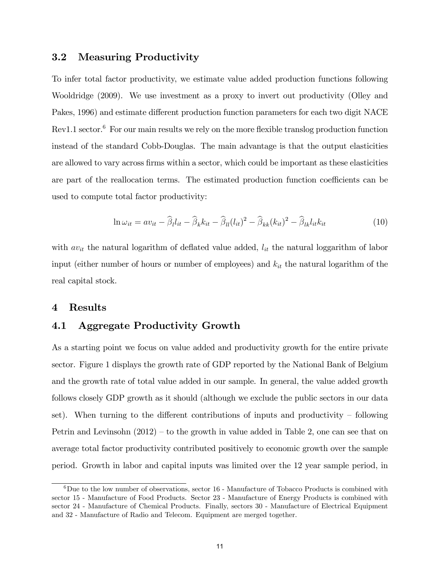# 3.2 Measuring Productivity

To infer total factor productivity, we estimate value added production functions following Wooldridge (2009). We use investment as a proxy to invert out productivity (Olley and Pakes, 1996) and estimate different production function parameters for each two digit NACE  $Rev1.1 sector.<sup>6</sup>$  For our main results we rely on the more flexible translog production function instead of the standard Cobb-Douglas. The main advantage is that the output elasticities are allowed to vary across firms within a sector, which could be important as these elasticities are part of the reallocation terms. The estimated production function coefficients can be used to compute total factor productivity:

$$
\ln \omega_{it} = av_{it} - \widehat{\beta}_l l_{it} - \widehat{\beta}_k k_{it} - \widehat{\beta}_l (l_{it})^2 - \widehat{\beta}_{kk} (k_{it})^2 - \widehat{\beta}_{lk} l_{it} k_{it}
$$
\n(10)

with  $av_{it}$  the natural logarithm of deflated value added,  $l_{it}$  the natural loggarithm of labor input (either number of hours or number of employees) and  $k<sub>it</sub>$  the natural logarithm of the real capital stock.

### 4 Results

# 4.1 Aggregate Productivity Growth

As a starting point we focus on value added and productivity growth for the entire private sector. Figure 1 displays the growth rate of GDP reported by the National Bank of Belgium and the growth rate of total value added in our sample. In general, the value added growth follows closely GDP growth as it should (although we exclude the public sectors in our data set). When turning to the different contributions of inputs and productivity  $\overline{\phantom{a}}$  following Petrin and Levinsohn  $(2012) -$  to the growth in value added in Table 2, one can see that on average total factor productivity contributed positively to economic growth over the sample period. Growth in labor and capital inputs was limited over the 12 year sample period, in

 $6$ Due to the low number of observations, sector 16 - Manufacture of Tobacco Products is combined with sector 15 - Manufacture of Food Products. Sector 23 - Manufacture of Energy Products is combined with sector 24 - Manufacture of Chemical Products. Finally, sectors 30 - Manufacture of Electrical Equipment and 32 - Manufacture of Radio and Telecom. Equipment are merged together.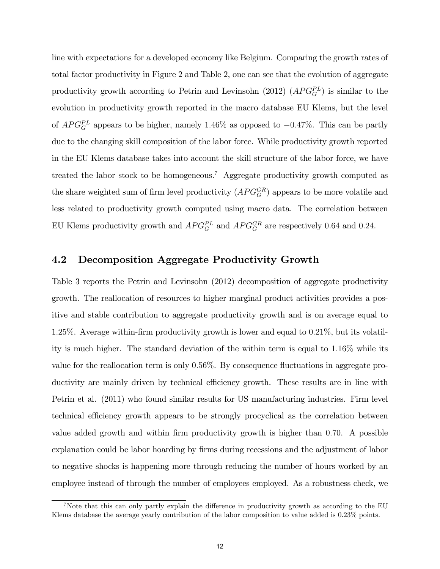line with expectations for a developed economy like Belgium. Comparing the growth rates of total factor productivity in Figure 2 and Table 2, one can see that the evolution of aggregate productivity growth according to Petrin and Levinsohn (2012)  $(APG_G^{PL})$  is similar to the evolution in productivity growth reported in the macro database EU Klems, but the level of  $APG_G^{PL}$  appears to be higher, namely 1.46% as opposed to  $-0.47\%$ . This can be partly due to the changing skill composition of the labor force. While productivity growth reported in the EU Klems database takes into account the skill structure of the labor force, we have treated the labor stock to be homogeneous.<sup>7</sup> Aggregate productivity growth computed as the share weighted sum of firm level productivity  $(APG_G^{GR})$  appears to be more volatile and less related to productivity growth computed using macro data. The correlation between EU Klems productivity growth and  $APG_G^{PL}$  and  $APG_G^{GR}$  are respectively 0.64 and 0.24.

# 4.2 Decomposition Aggregate Productivity Growth

Table 3 reports the Petrin and Levinsohn (2012) decomposition of aggregate productivity growth. The reallocation of resources to higher marginal product activities provides a positive and stable contribution to aggregate productivity growth and is on average equal to 1:25%. Average within-Örm productivity growth is lower and equal to 0:21%, but its volatility is much higher. The standard deviation of the within term is equal to 1:16% while its value for the reallocation term is only 0:56%. By consequence áuctuations in aggregate productivity are mainly driven by technical efficiency growth. These results are in line with Petrin et al. (2011) who found similar results for US manufacturing industries. Firm level technical efficiency growth appears to be strongly procyclical as the correlation between value added growth and within firm productivity growth is higher than 0.70. A possible explanation could be labor hoarding by firms during recessions and the adjustment of labor to negative shocks is happening more through reducing the number of hours worked by an employee instead of through the number of employees employed. As a robustness check, we

<sup>&</sup>lt;sup>7</sup>Note that this can only partly explain the difference in productivity growth as according to the EU Klems database the average yearly contribution of the labor composition to value added is 0:23% points.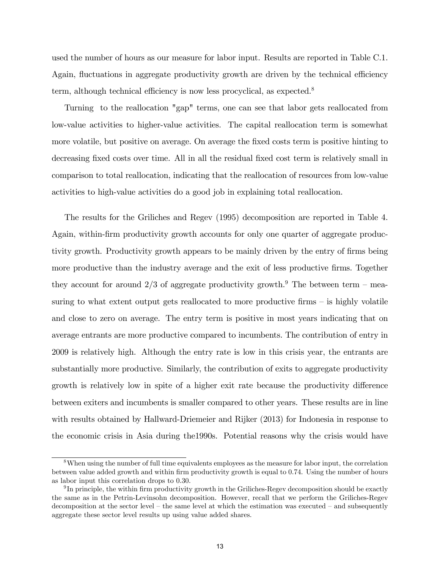used the number of hours as our measure for labor input. Results are reported in Table C.1. Again, fluctuations in aggregate productivity growth are driven by the technical efficiency term, although technical efficiency is now less procyclical, as expected.<sup>8</sup>

Turning to the reallocation "gap" terms, one can see that labor gets reallocated from low-value activities to higher-value activities. The capital reallocation term is somewhat more volatile, but positive on average. On average the fixed costs term is positive hinting to decreasing fixed costs over time. All in all the residual fixed cost term is relatively small in comparison to total reallocation, indicating that the reallocation of resources from low-value activities to high-value activities do a good job in explaining total reallocation.

The results for the Griliches and Regev (1995) decomposition are reported in Table 4. Again, within-firm productivity growth accounts for only one quarter of aggregate productivity growth. Productivity growth appears to be mainly driven by the entry of firms being more productive than the industry average and the exit of less productive firms. Together they account for around 2/3 of aggregate productivity growth.<sup>9</sup> The between term – measuring to what extent output gets reallocated to more productive firms  $-$  is highly volatile and close to zero on average. The entry term is positive in most years indicating that on average entrants are more productive compared to incumbents. The contribution of entry in 2009 is relatively high. Although the entry rate is low in this crisis year, the entrants are substantially more productive. Similarly, the contribution of exits to aggregate productivity growth is relatively low in spite of a higher exit rate because the productivity difference between exiters and incumbents is smaller compared to other years. These results are in line with results obtained by Hallward-Driemeier and Rijker (2013) for Indonesia in response to the economic crisis in Asia during the1990s. Potential reasons why the crisis would have

<sup>&</sup>lt;sup>8</sup>When using the number of full time equivalents employees as the measure for labor input, the correlation between value added growth and within Örm productivity growth is equal to 0.74. Using the number of hours as labor input this correlation drops to 0.30.

 $^{9}$ In principle, the within firm productivity growth in the Griliches-Regev decomposition should be exactly the same as in the Petrin-Levinsohn decomposition. However, recall that we perform the Griliches-Regev decomposition at the sector level – the same level at which the estimation was executed – and subsequently aggregate these sector level results up using value added shares.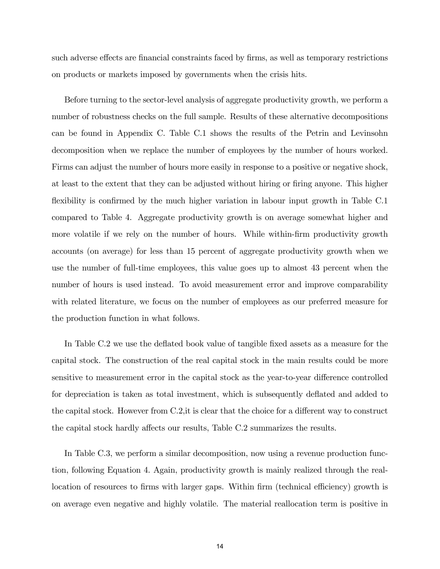such adverse effects are financial constraints faced by firms, as well as temporary restrictions on products or markets imposed by governments when the crisis hits.

Before turning to the sector-level analysis of aggregate productivity growth, we perform a number of robustness checks on the full sample. Results of these alternative decompositions can be found in Appendix C. Table C.1 shows the results of the Petrin and Levinsohn decomposition when we replace the number of employees by the number of hours worked. Firms can adjust the number of hours more easily in response to a positive or negative shock, at least to the extent that they can be adjusted without hiring or firing anyone. This higher flexibility is confirmed by the much higher variation in labour input growth in Table C.1 compared to Table 4. Aggregate productivity growth is on average somewhat higher and more volatile if we rely on the number of hours. While within-firm productivity growth accounts (on average) for less than 15 percent of aggregate productivity growth when we use the number of full-time employees, this value goes up to almost 43 percent when the number of hours is used instead. To avoid measurement error and improve comparability with related literature, we focus on the number of employees as our preferred measure for the production function in what follows.

In Table C.2 we use the deflated book value of tangible fixed assets as a measure for the capital stock. The construction of the real capital stock in the main results could be more sensitive to measurement error in the capital stock as the year-to-year difference controlled for depreciation is taken as total investment, which is subsequently deflated and added to the capital stock. However from  $C.2$ , it is clear that the choice for a different way to construct the capital stock hardly affects our results, Table C.2 summarizes the results.

In Table C.3, we perform a similar decomposition, now using a revenue production function, following Equation 4. Again, productivity growth is mainly realized through the reallocation of resources to firms with larger gaps. Within firm (technical efficiency) growth is on average even negative and highly volatile. The material reallocation term is positive in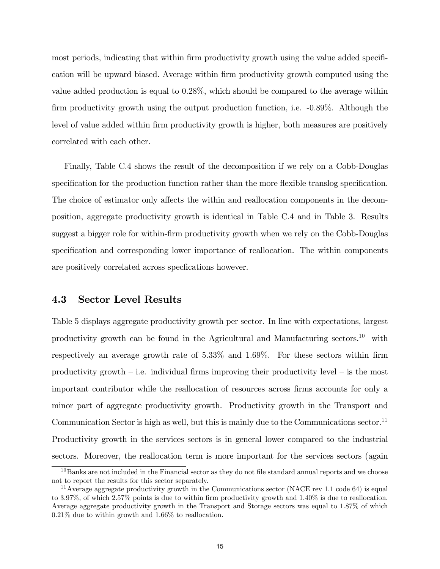most periods, indicating that within firm productivity growth using the value added specification will be upward biased. Average within Örm productivity growth computed using the value added production is equal to 0:28%, which should be compared to the average within firm productivity growth using the output production function, i.e.  $-0.89\%$ . Although the level of value added within Örm productivity growth is higher, both measures are positively correlated with each other.

Finally, Table C.4 shows the result of the decomposition if we rely on a Cobb-Douglas specification for the production function rather than the more flexible translog specification. The choice of estimator only affects the within and reallocation components in the decomposition, aggregate productivity growth is identical in Table C.4 and in Table 3. Results suggest a bigger role for within-Örm productivity growth when we rely on the Cobb-Douglas specification and corresponding lower importance of reallocation. The within components are positively correlated across specifications however.

# 4.3 Sector Level Results

Table 5 displays aggregate productivity growth per sector. In line with expectations, largest productivity growth can be found in the Agricultural and Manufacturing sectors.<sup>10</sup> with respectively an average growth rate of  $5.33\%$  and  $1.69\%$ . For these sectors within firm productivity growth  $\overline{\phantom{a}}$  i.e. individual firms improving their productivity level  $\overline{\phantom{a}}$  is the most important contributor while the reallocation of resources across Örms accounts for only a minor part of aggregate productivity growth. Productivity growth in the Transport and Communication Sector is high as well, but this is mainly due to the Communications sector.<sup>11</sup> Productivity growth in the services sectors is in general lower compared to the industrial sectors. Moreover, the reallocation term is more important for the services sectors (again

 $10B$ anks are not included in the Financial sector as they do not file standard annual reports and we choose not to report the results for this sector separately.

<sup>&</sup>lt;sup>11</sup> Average aggregate productivity growth in the Communications sector (NACE rev 1.1 code 64) is equal to 3.97%, of which 2.57% points is due to within firm productivity growth and 1.40% is due to reallocation. Average aggregate productivity growth in the Transport and Storage sectors was equal to 1.87% of which 0.21% due to within growth and 1.66% to reallocation.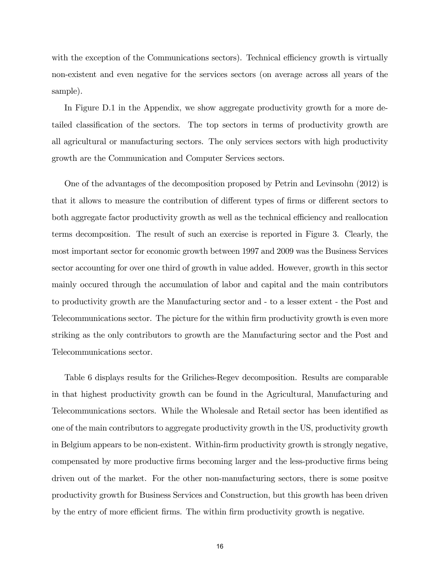with the exception of the Communications sectors). Technical efficiency growth is virtually non-existent and even negative for the services sectors (on average across all years of the sample).

In Figure D.1 in the Appendix, we show aggregate productivity growth for a more detailed classification of the sectors. The top sectors in terms of productivity growth are all agricultural or manufacturing sectors. The only services sectors with high productivity growth are the Communication and Computer Services sectors.

One of the advantages of the decomposition proposed by Petrin and Levinsohn (2012) is that it allows to measure the contribution of different types of firms or different sectors to both aggregate factor productivity growth as well as the technical efficiency and reallocation terms decomposition. The result of such an exercise is reported in Figure 3. Clearly, the most important sector for economic growth between 1997 and 2009 was the Business Services sector accounting for over one third of growth in value added. However, growth in this sector mainly occured through the accumulation of labor and capital and the main contributors to productivity growth are the Manufacturing sector and - to a lesser extent - the Post and Telecommunications sector. The picture for the within Örm productivity growth is even more striking as the only contributors to growth are the Manufacturing sector and the Post and Telecommunications sector.

Table 6 displays results for the Griliches-Regev decomposition. Results are comparable in that highest productivity growth can be found in the Agricultural, Manufacturing and Telecommunications sectors. While the Wholesale and Retail sector has been identified as one of the main contributors to aggregate productivity growth in the US, productivity growth in Belgium appears to be non-existent. Within-Örm productivity growth is strongly negative, compensated by more productive Örms becoming larger and the less-productive Örms being driven out of the market. For the other non-manufacturing sectors, there is some positve productivity growth for Business Services and Construction, but this growth has been driven by the entry of more efficient firms. The within firm productivity growth is negative.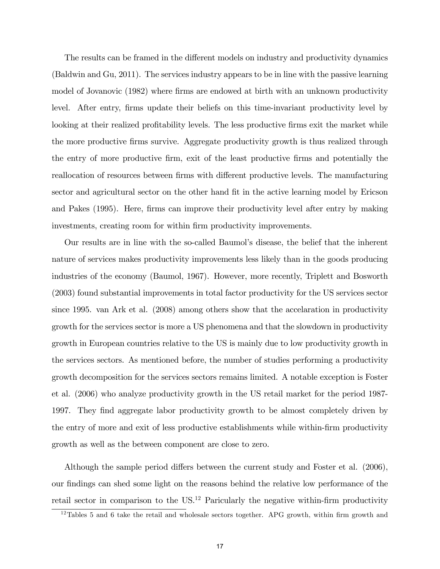The results can be framed in the different models on industry and productivity dynamics (Baldwin and Gu, 2011). The services industry appears to be in line with the passive learning model of Jovanovic (1982) where firms are endowed at birth with an unknown productivity level. After entry, firms update their beliefs on this time-invariant productivity level by looking at their realized profitability levels. The less productive firms exit the market while the more productive Örms survive. Aggregate productivity growth is thus realized through the entry of more productive Örm, exit of the least productive Örms and potentially the reallocation of resources between firms with different productive levels. The manufacturing sector and agricultural sector on the other hand fit in the active learning model by Ericson and Pakes (1995). Here, firms can improve their productivity level after entry by making investments, creating room for within firm productivity improvements.

Our results are in line with the so-called Baumolís disease, the belief that the inherent nature of services makes productivity improvements less likely than in the goods producing industries of the economy (Baumol, 1967). However, more recently, Triplett and Bosworth (2003) found substantial improvements in total factor productivity for the US services sector since 1995. van Ark et al. (2008) among others show that the accelaration in productivity growth for the services sector is more a US phenomena and that the slowdown in productivity growth in European countries relative to the US is mainly due to low productivity growth in the services sectors. As mentioned before, the number of studies performing a productivity growth decomposition for the services sectors remains limited. A notable exception is Foster et al. (2006) who analyze productivity growth in the US retail market for the period 1987- 1997. They find aggregate labor productivity growth to be almost completely driven by the entry of more and exit of less productive establishments while within-firm productivity growth as well as the between component are close to zero.

Although the sample period differs between the current study and Foster et al.  $(2006)$ , our Öndings can shed some light on the reasons behind the relative low performance of the retail sector in comparison to the US.<sup>12</sup> Paricularly the negative within-firm productivity

 $12$ Tables 5 and 6 take the retail and wholesale sectors together. APG growth, within firm growth and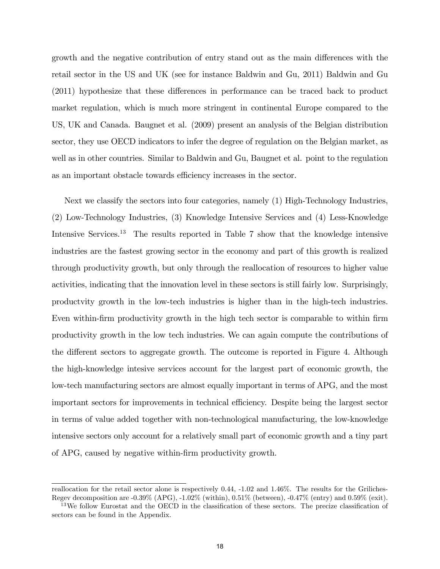growth and the negative contribution of entry stand out as the main differences with the retail sector in the US and UK (see for instance Baldwin and Gu, 2011) Baldwin and Gu  $(2011)$  hypothesize that these differences in performance can be traced back to product market regulation, which is much more stringent in continental Europe compared to the US, UK and Canada. Baugnet et al. (2009) present an analysis of the Belgian distribution sector, they use OECD indicators to infer the degree of regulation on the Belgian market, as well as in other countries. Similar to Baldwin and Gu, Baugnet et al. point to the regulation as an important obstacle towards efficiency increases in the sector.

Next we classify the sectors into four categories, namely (1) High-Technology Industries, (2) Low-Technology Industries, (3) Knowledge Intensive Services and (4) Less-Knowledge Intensive Services.<sup>13</sup> The results reported in Table 7 show that the knowledge intensive industries are the fastest growing sector in the economy and part of this growth is realized through productivity growth, but only through the reallocation of resources to higher value activities, indicating that the innovation level in these sectors is still fairly low. Surprisingly, productvity growth in the low-tech industries is higher than in the high-tech industries. Even within-firm productivity growth in the high tech sector is comparable to within firm productivity growth in the low tech industries. We can again compute the contributions of the different sectors to aggregate growth. The outcome is reported in Figure 4. Although the high-knowledge intesive services account for the largest part of economic growth, the low-tech manufacturing sectors are almost equally important in terms of APG, and the most important sectors for improvements in technical efficiency. Despite being the largest sector in terms of value added together with non-technological manufacturing, the low-knowledge intensive sectors only account for a relatively small part of economic growth and a tiny part of APG, caused by negative within-Örm productivity growth.

reallocation for the retail sector alone is respectively 0.44, -1.02 and 1.46%. The results for the Griliches-Regev decomposition are -0.39% (APG), -1.02% (within), 0.51% (between), -0.47% (entry) and 0.59% (exit).

<sup>&</sup>lt;sup>13</sup>We follow Eurostat and the OECD in the classification of these sectors. The precize classification of sectors can be found in the Appendix.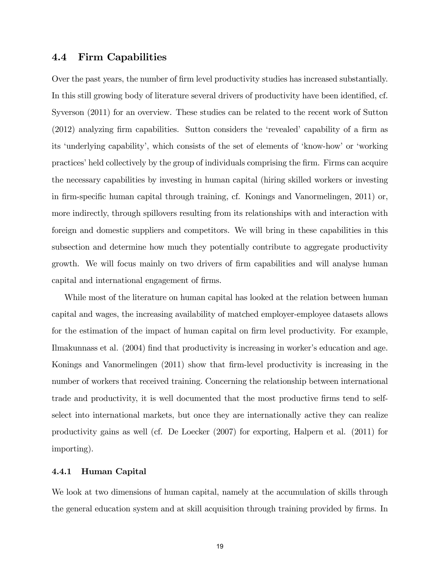# 4.4 Firm Capabilities

Over the past years, the number of firm level productivity studies has increased substantially. In this still growing body of literature several drivers of productivity have been identified, cf. Syverson (2011) for an overview. These studies can be related to the recent work of Sutton  $(2012)$  analyzing firm capabilities. Sutton considers the 'revealed' capability of a firm as its 'underlying capability', which consists of the set of elements of 'know-how' or 'working practicesíheld collectively by the group of individuals comprising the Örm. Firms can acquire the necessary capabilities by investing in human capital (hiring skilled workers or investing in firm-specific human capital through training, cf. Konings and Vanormelingen, 2011) or, more indirectly, through spillovers resulting from its relationships with and interaction with foreign and domestic suppliers and competitors. We will bring in these capabilities in this subsection and determine how much they potentially contribute to aggregate productivity growth. We will focus mainly on two drivers of firm capabilities and will analyse human capital and international engagement of firms.

While most of the literature on human capital has looked at the relation between human capital and wages, the increasing availability of matched employer-employee datasets allows for the estimation of the impact of human capital on firm level productivity. For example, Ilmakunnass et al. (2004) find that productivity is increasing in worker's education and age. Konings and Vanormelingen (2011) show that firm-level productivity is increasing in the number of workers that received training. Concerning the relationship between international trade and productivity, it is well documented that the most productive firms tend to selfselect into international markets, but once they are internationally active they can realize productivity gains as well (cf. De Loecker (2007) for exporting, Halpern et al. (2011) for importing).

#### 4.4.1 Human Capital

We look at two dimensions of human capital, namely at the accumulation of skills through the general education system and at skill acquisition through training provided by firms. In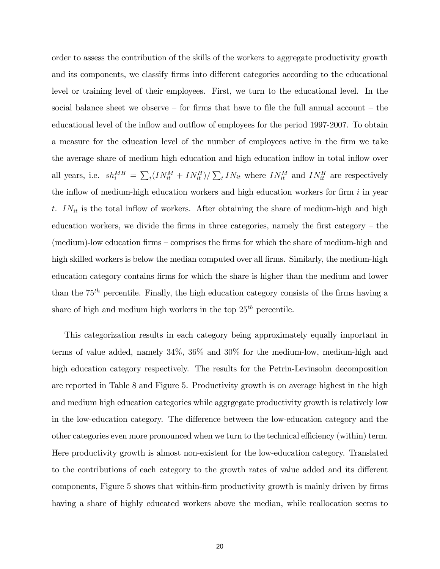order to assess the contribution of the skills of the workers to aggregate productivity growth and its components, we classify firms into different categories according to the educational level or training level of their employees. First, we turn to the educational level. In the social balance sheet we observe  $-$  for firms that have to file the full annual account  $-$  the educational level of the inflow and outflow of employees for the period 1997-2007. To obtain a measure for the education level of the number of employees active in the Örm we take the average share of medium high education and high education inflow in total inflow over all years, i.e.  $sh_i^{MH} = \sum_t (IN_{it}^M + IN_{it}^H) / \sum_t IN_{it}$  where  $IN_{it}^M$  and  $IN_{it}^H$  are respectively the inflow of medium-high education workers and high education workers for firm  $i$  in year t.  $IN_{it}$  is the total inflow of workers. After obtaining the share of medium-high and high education workers, we divide the firms in three categories, namely the first category  $-$  the  $($ medium $)$ -low education firms  $-$  comprises the firms for which the share of medium-high and high skilled workers is below the median computed over all firms. Similarly, the medium-high education category contains firms for which the share is higher than the medium and lower than the  $75<sup>th</sup>$  percentile. Finally, the high education category consists of the firms having a share of high and medium high workers in the top  $25<sup>th</sup>$  percentile.

This categorization results in each category being approximately equally important in terms of value added, namely 34%, 36% and 30% for the medium-low, medium-high and high education category respectively. The results for the Petrin-Levinsohn decomposition are reported in Table 8 and Figure 5. Productivity growth is on average highest in the high and medium high education categories while aggrgegate productivity growth is relatively low in the low-education category. The difference between the low-education category and the other categories even more pronounced when we turn to the technical efficiency (within) term. Here productivity growth is almost non-existent for the low-education category. Translated to the contributions of each category to the growth rates of value added and its different components, Figure 5 shows that within-firm productivity growth is mainly driven by firms having a share of highly educated workers above the median, while reallocation seems to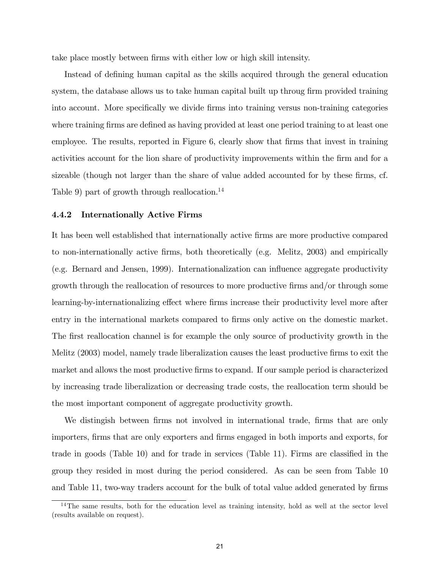take place mostly between firms with either low or high skill intensity.

Instead of defining human capital as the skills acquired through the general education system, the database allows us to take human capital built up throug firm provided training into account. More specifically we divide firms into training versus non-training categories where training firms are defined as having provided at least one period training to at least one employee. The results, reported in Figure 6, clearly show that firms that invest in training activities account for the lion share of productivity improvements within the firm and for a sizeable (though not larger than the share of value added accounted for by these firms, cf. Table 9) part of growth through reallocation.<sup>14</sup>

#### 4.4.2 Internationally Active Firms

It has been well established that internationally active Örms are more productive compared to non-internationally active Örms, both theoretically (e.g. Melitz, 2003) and empirically (e.g. Bernard and Jensen, 1999). Internationalization can influence aggregate productivity growth through the reallocation of resources to more productive firms and/or through some learning-by-internationalizing effect where firms increase their productivity level more after entry in the international markets compared to firms only active on the domestic market. The first reallocation channel is for example the only source of productivity growth in the Melitz (2003) model, namely trade liberalization causes the least productive firms to exit the market and allows the most productive firms to expand. If our sample period is characterized by increasing trade liberalization or decreasing trade costs, the reallocation term should be the most important component of aggregate productivity growth.

We distingish between firms not involved in international trade, firms that are only importers, firms that are only exporters and firms engaged in both imports and exports, for trade in goods (Table 10) and for trade in services (Table 11). Firms are classified in the group they resided in most during the period considered. As can be seen from Table 10 and Table 11, two-way traders account for the bulk of total value added generated by firms

<sup>&</sup>lt;sup>14</sup>The same results, both for the education level as training intensity, hold as well at the sector level (results available on request).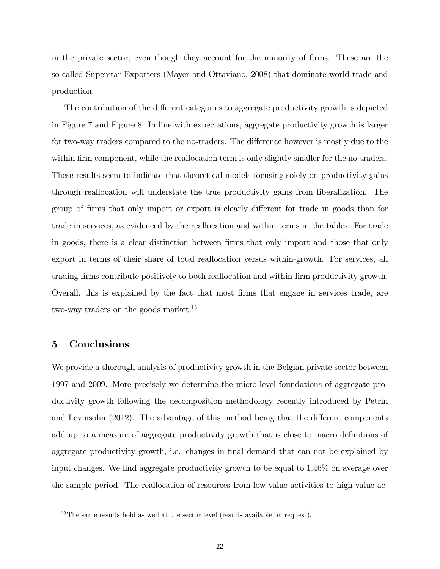in the private sector, even though they account for the minority of firms. These are the so-called Superstar Exporters (Mayer and Ottaviano, 2008) that dominate world trade and production.

The contribution of the different categories to aggregate productivity growth is depicted in Figure 7 and Figure 8. In line with expectations, aggregate productivity growth is larger for two-way traders compared to the no-traders. The difference however is mostly due to the within firm component, while the reallocation term is only slightly smaller for the no-traders. These results seem to indicate that theoretical models focusing solely on productivity gains through reallocation will understate the true productivity gains from liberalization. The group of firms that only import or export is clearly different for trade in goods than for trade in services, as evidenced by the reallocation and within terms in the tables. For trade in goods, there is a clear distinction between firms that only import and those that only export in terms of their share of total reallocation versus within-growth. For services, all trading Örms contribute positively to both reallocation and within-Örm productivity growth. Overall, this is explained by the fact that most Örms that engage in services trade, are two-way traders on the goods market.<sup>15</sup>

# 5 Conclusions

We provide a thorough analysis of productivity growth in the Belgian private sector between 1997 and 2009. More precisely we determine the micro-level foundations of aggregate productivity growth following the decomposition methodology recently introduced by Petrin and Levinsohn  $(2012)$ . The advantage of this method being that the different components add up to a measure of aggregate productivity growth that is close to macro definitions of aggregate productivity growth, i.e. changes in final demand that can not be explained by input changes. We find aggregate productivity growth to be equal to 1.46% on average over the sample period. The reallocation of resources from low-value activities to high-value ac-

 $15$ The same results hold as well at the sector level (results available on request).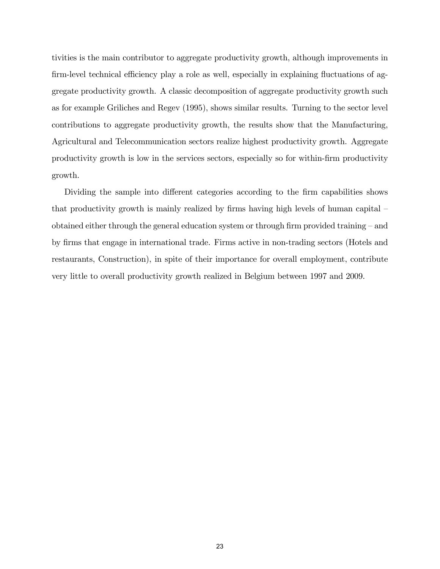tivities is the main contributor to aggregate productivity growth, although improvements in firm-level technical efficiency play a role as well, especially in explaining fluctuations of aggregate productivity growth. A classic decomposition of aggregate productivity growth such as for example Griliches and Regev (1995), shows similar results. Turning to the sector level contributions to aggregate productivity growth, the results show that the Manufacturing, Agricultural and Telecommunication sectors realize highest productivity growth. Aggregate productivity growth is low in the services sectors, especially so for within-Örm productivity growth.

Dividing the sample into different categories according to the firm capabilities shows that productivity growth is mainly realized by firms having high levels of human capital  $$ obtained either through the general education system or through firm provided training  $-$  and by firms that engage in international trade. Firms active in non-trading sectors (Hotels and restaurants, Construction), in spite of their importance for overall employment, contribute very little to overall productivity growth realized in Belgium between 1997 and 2009.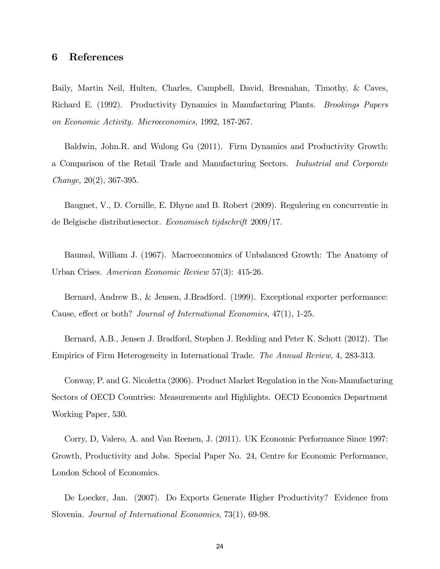## 6 References

Baily, Martin Neil, Hulten, Charles, Campbell, David, Bresnahan, Timothy, & Caves, Richard E. (1992). Productivity Dynamics in Manufacturing Plants. Brookings Papers on Economic Activity. Microeconomics, 1992, 187-267.

Baldwin, John.R. and Wulong Gu (2011). Firm Dynamics and Productivity Growth: a Comparison of the Retail Trade and Manufacturing Sectors. Industrial and Corporate Change, 20(2), 367-395.

Baugnet, V., D. Cornille, E. Dhyne and B. Robert (2009). Regulering en concurrentie in de Belgische distributiesector. Economisch tijdschrift 2009/17.

Baumol, William J. (1967). Macroeconomics of Unbalanced Growth: The Anatomy of Urban Crises. American Economic Review 57(3): 415-26.

Bernard, Andrew B., & Jensen, J.Bradford. (1999). Exceptional exporter performance: Cause, effect or both? Journal of International Economics, 47(1), 1-25.

Bernard, A.B., Jensen J. Bradford, Stephen J. Redding and Peter K. Schott (2012). The Empirics of Firm Heterogeneity in International Trade. The Annual Review, 4, 283-313.

Conway, P. and G. Nicoletta (2006). Product Market Regulation in the Non-Manufacturing Sectors of OECD Countries: Measurements and Highlights. OECD Economics Department Working Paper, 530.

Corry, D, Valero, A. and Van Reenen, J. (2011). UK Economic Performance Since 1997: Growth, Productivity and Jobs. Special Paper No. 24, Centre for Economic Performance, London School of Economics.

De Loecker, Jan. (2007). Do Exports Generate Higher Productivity? Evidence from Slovenia. Journal of International Economics, 73(1), 69-98.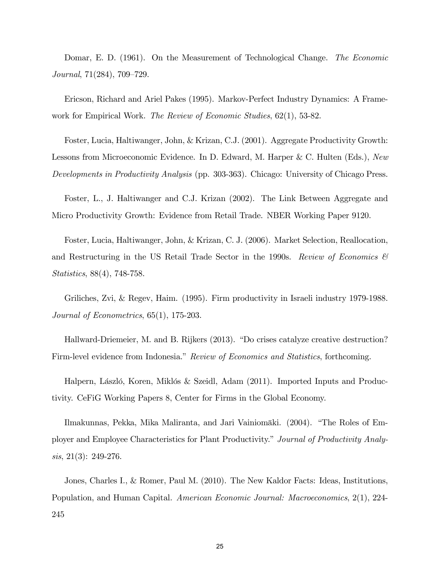Domar, E. D. (1961). On the Measurement of Technological Change. The Economic Journal,  $71(284)$ ,  $709-729$ .

Ericson, Richard and Ariel Pakes (1995). Markov-Perfect Industry Dynamics: A Framework for Empirical Work. The Review of Economic Studies, 62(1), 53-82.

Foster, Lucia, Haltiwanger, John, & Krizan, C.J. (2001). Aggregate Productivity Growth: Lessons from Microeconomic Evidence. In D. Edward, M. Harper & C. Hulten (Eds.), New Developments in Productivity Analysis (pp. 303-363). Chicago: University of Chicago Press.

Foster, L., J. Haltiwanger and C.J. Krizan (2002). The Link Between Aggregate and Micro Productivity Growth: Evidence from Retail Trade. NBER Working Paper 9120.

Foster, Lucia, Haltiwanger, John, & Krizan, C. J. (2006). Market Selection, Reallocation, and Restructuring in the US Retail Trade Sector in the 1990s. Review of Economics  $\mathcal{B}$ Statistics, 88(4), 748-758.

Griliches, Zvi, & Regev, Haim. (1995). Firm productivity in Israeli industry 1979-1988. Journal of Econometrics, 65(1), 175-203.

Hallward-Driemeier, M. and B. Rijkers (2013). "Do crises catalyze creative destruction? Firm-level evidence from Indonesia." Review of Economics and Statistics, forthcoming.

Halpern, László, Koren, Miklós & Szeidl, Adam (2011). Imported Inputs and Productivity. CeFiG Working Papers 8, Center for Firms in the Global Economy.

Ilmakunnas, Pekka, Mika Maliranta, and Jari Vainiomäki. (2004). "The Roles of Employer and Employee Characteristics for Plant Productivity." Journal of Productivity Analysis, 21(3): 249-276.

Jones, Charles I., & Romer, Paul M. (2010). The New Kaldor Facts: Ideas, Institutions, Population, and Human Capital. American Economic Journal: Macroeconomics, 2(1), 224- 245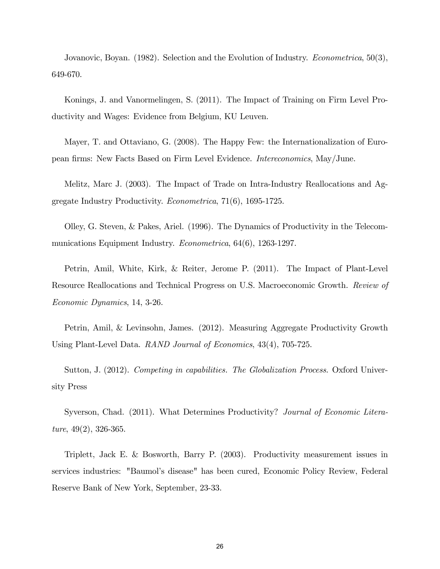Jovanovic, Boyan. (1982). Selection and the Evolution of Industry. *Econometrica*, 50(3), 649-670.

Konings, J. and Vanormelingen, S. (2011). The Impact of Training on Firm Level Productivity and Wages: Evidence from Belgium, KU Leuven.

Mayer, T. and Ottaviano, G. (2008). The Happy Few: the Internationalization of European Örms: New Facts Based on Firm Level Evidence. Intereconomics, May/June.

Melitz, Marc J. (2003). The Impact of Trade on Intra-Industry Reallocations and Aggregate Industry Productivity. Econometrica, 71(6), 1695-1725.

Olley, G. Steven, & Pakes, Ariel. (1996). The Dynamics of Productivity in the Telecommunications Equipment Industry. *Econometrica*, 64(6), 1263-1297.

Petrin, Amil, White, Kirk, & Reiter, Jerome P. (2011). The Impact of Plant-Level Resource Reallocations and Technical Progress on U.S. Macroeconomic Growth. Review of Economic Dynamics, 14, 3-26.

Petrin, Amil, & Levinsohn, James. (2012). Measuring Aggregate Productivity Growth Using Plant-Level Data. RAND Journal of Economics, 43(4), 705-725.

Sutton, J. (2012). *Competing in capabilities. The Globalization Process*. Oxford University Press

Syverson, Chad. (2011). What Determines Productivity? Journal of Economic Literature,  $49(2)$ , 326-365.

Triplett, Jack E. & Bosworth, Barry P. (2003). Productivity measurement issues in services industries: "Baumolís disease" has been cured, Economic Policy Review, Federal Reserve Bank of New York, September, 23-33.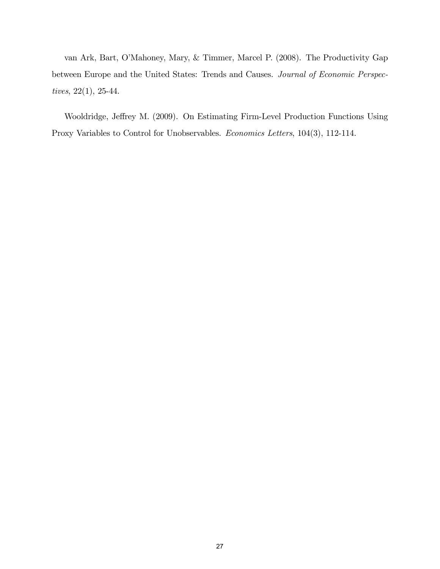van Ark, Bart, OíMahoney, Mary, & Timmer, Marcel P. (2008). The Productivity Gap between Europe and the United States: Trends and Causes. Journal of Economic Perspectives, 22(1), 25-44.

Wooldridge, Jeffrey M. (2009). On Estimating Firm-Level Production Functions Using Proxy Variables to Control for Unobservables. Economics Letters, 104(3), 112-114.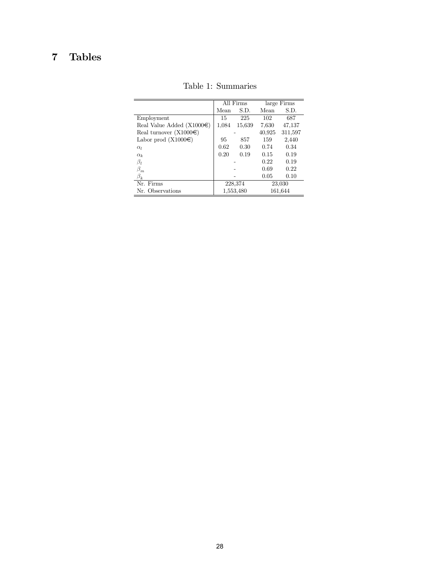# 7 Tables

|                                 | All Firms |           |        | large Firms |
|---------------------------------|-----------|-----------|--------|-------------|
|                                 | Mean      | S.D.      | Mean   | S.D.        |
| Employment                      | 15        | 225       | 102    | 687         |
| Real Value Added (X1000 $\in$ ) | 1,084     | 15,639    | 7,630  | 47,137      |
| Real turnover $(X1000\epsilon)$ |           |           | 40,925 | 311,597     |
| Labor prod $(X1000\epsilon)$    | 95        | 857       | 159    | 2,440       |
| $\alpha_l$                      | 0.62      | 0.30      | 0.74   | 0.34        |
| $\alpha_k$                      | 0.20      | 0.19      | 0.15   | 0.19        |
| $\beta_l$                       |           |           | 0.22   | 0.19        |
| $\beta_m$                       |           |           | 0.69   | 0.22        |
| $\beta_k$                       |           |           | 0.05   | 0.10        |
| Nr. Firms                       |           | 228,374   |        | 23,030      |
| Nr. Observations                |           | 1,553,480 |        | 161,644     |

Table 1: Summaries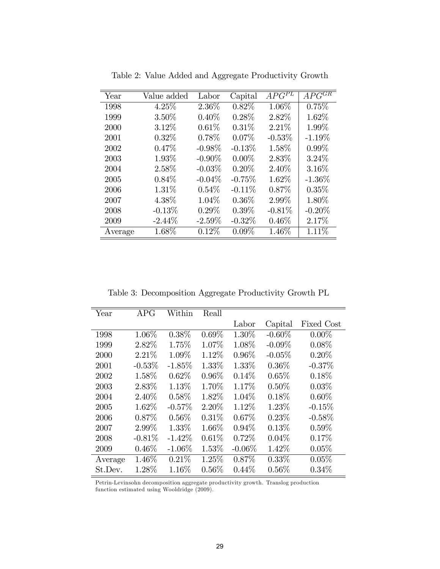| Year    | Value added | Labor     | Capital   | $AP\overline{G^{PL}}$ | $AP\overline{G^{GR}}$ |
|---------|-------------|-----------|-----------|-----------------------|-----------------------|
| 1998    | 4.25%       | $2.36\%$  | 0.82%     | 1.06%                 | 0.75%                 |
| 1999    | $3.50\%$    | $0.40\%$  | 0.28%     | 2.82%                 | 1.62%                 |
| 2000    | 3.12%       | $0.61\%$  | 0.31%     | 2.21%                 | 1.99%                 |
| 2001    | $0.32\%$    | 0.78%     | 0.07%     | $-0.53%$              | $-1.19%$              |
| 2002    | 0.47%       | $-0.98\%$ | $-0.13%$  | 1.58%                 | $0.99\%$              |
| 2003    | 1.93%       | $-0.90\%$ | $0.00\%$  | 2.83%                 | $3.24\%$              |
| 2004    | 2.58%       | $-0.03\%$ | 0.20%     | 2.40%                 | 3.16%                 |
| 2005    | $0.84\%$    | $-0.04\%$ | $-0.75%$  | $1.62\%$              | $-1.36\%$             |
| 2006    | 1.31\%      | $0.54\%$  | $-0.11\%$ | $0.87\%$              | $0.35\%$              |
| 2007    | 4.38\%      | $1.04\%$  | $0.36\%$  | 2.99%                 | 1.80%                 |
| 2008    | $-0.13%$    | $0.29\%$  | $0.39\%$  | $-0.81%$              | $-0.20%$              |
| 2009    | $-2.44\%$   | $-2.59\%$ | $-0.32\%$ | $0.46\%$              | 2.17%                 |
| Average | 1.68%       | 0.12%     | 0.09%     | $1.46\%$              | 1.11%                 |

Table 2: Value Added and Aggregate Productivity Growth

Table 3: Decomposition Aggregate Productivity Growth PL

|         | <b>APG</b> | Within    |          |           |           |            |
|---------|------------|-----------|----------|-----------|-----------|------------|
| Year    |            |           | Reall    |           |           |            |
|         |            |           |          | Labor     | Capital   | Fixed Cost |
| 1998    | 1.06%      | $0.38\%$  | $0.69\%$ | 1.30%     | $-0.60\%$ | $0.00\%$   |
| 1999    | 2.82%      | 1.75%     | 1.07%    | 1.08%     | $-0.09\%$ | $0.08\%$   |
| 2000    | 2.21%      | 1.09%     | 1.12%    | $0.96\%$  | $-0.05%$  | $0.20\%$   |
| 2001    | $-0.53%$   | $-1.85%$  | 1.33%    | 1.33%     | $0.36\%$  | $-0.37%$   |
| 2002    | 1.58%      | $0.62\%$  | $0.96\%$ | $0.14\%$  | $0.65\%$  | $0.18\%$   |
| 2003    | 2.83%      | 1.13%     | 1.70%    | 1.17%     | $0.50\%$  | $0.03\%$   |
| 2004    | 2.40%      | $0.58\%$  | 1.82%    | $1.04\%$  | 0.18%     | $0.60\%$   |
| 2005    | 1.62%      | $-0.57%$  | 2.20%    | 1.12%     | 1.23%     | $-0.15%$   |
| 2006    | 0.87%      | $0.56\%$  | 0.31%    | 0.67%     | 0.23%     | $-0.58%$   |
| 2007    | 2.99%      | 1.33%     | 1.66%    | $0.94\%$  | 0.13%     | $0.59\%$   |
| 2008    | $-0.81\%$  | $-1.42\%$ | 0.61%    | 0.72%     | $0.04\%$  | 0.17%      |
| 2009    | $0.46\%$   | $-1.06\%$ | 1.53%    | $-0.06\%$ | 1.42\%    | $0.05\%$   |
| Average | $1.46\%$   | $0.21\%$  | $1.25\%$ | 0.87%     | 0.33%     | 0.05%      |
| St.Dev. | 1.28%      | 1.16%     | $0.56\%$ | $0.44\%$  | $0.56\%$  | $0.34\%$   |

Petrin-Levinsohn decomposition aggregate productivity growth. Translog production function estimated using Wooldridge (2009).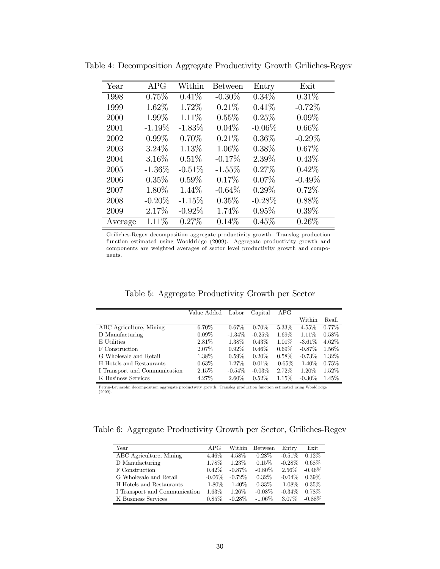| Year    | <b>APG</b> | Within    | <b>Between</b> | Entry    | Exit      |
|---------|------------|-----------|----------------|----------|-----------|
| 1998    | 0.75%      | 0.41%     | $-0.30\%$      | $0.34\%$ | $0.31\%$  |
| 1999    | 1.62%      | 1.72%     | 0.21%          | 0.41%    | $-0.72%$  |
| 2000    | 1.99%      | 1.11%     | 0.55%          | 0.25%    | $0.09\%$  |
| 2001    | $-1.19\%$  | $-1.83\%$ | $0.04\%$       | $-0.06%$ | $0.66\%$  |
| 2002    | $0.99\%$   | 0.70%     | $0.21\%$       | $0.36\%$ | $-0.29\%$ |
| 2003    | $3.24\%$   | 1.13%     | 1.06%          | $0.38\%$ | 0.67%     |
| 2004    | 3.16%      | 0.51%     | $-0.17%$       | 2.39%    | 0.43%     |
| 2005    | $-1.36\%$  | $-0.51%$  | $-1.55\%$      | 0.27%    | 0.42%     |
| 2006    | 0.35%      | $0.59\%$  | 0.17%          | $0.07\%$ | $-0.49%$  |
| 2007    | 1.80%      | 1.44%     | $-0.64%$       | $0.29\%$ | 0.72%     |
| 2008    | $-0.20\%$  | $-1.15%$  | 0.35%          | $-0.28%$ | 0.88%     |
| 2009    | 2.17%      | $-0.92%$  | 1.74%          | 0.95%    | $0.39\%$  |
| Average | 1.11\%     | $0.27\%$  | 0.14%          | 0.45%    | $0.26\%$  |

Table 4: Decomposition Aggregate Productivity Growth Griliches-Regev

Griliches-Regev decomposition aggregate productivity growth. Translog production function estimated using Wooldridge (2009). Aggregate productivity growth and components are weighted averages of sector level productivity growth and components.

| Table 5: Aggregate Productivity Growth per Sector |  |  |  |
|---------------------------------------------------|--|--|--|
|---------------------------------------------------|--|--|--|

|                               | Value Added | Labor     | Capital   | APG      |           |          |
|-------------------------------|-------------|-----------|-----------|----------|-----------|----------|
|                               |             |           |           |          | Within    | Reall    |
| ABC Agriculture, Mining       | $6.70\%$    | $0.67\%$  | $0.70\%$  | $5.33\%$ | $4.55\%$  | $0.77\%$ |
| D Manufacturing               | $0.09\%$    | $-1.34\%$ | $-0.25\%$ | 1.69%    | 1.11\%    | $0.58\%$ |
| E Utilities                   | $2.81\%$    | $1.38\%$  | $0.43\%$  | 1.01\%   | $-3.61\%$ | 4.62\%   |
| F Construction                | 2.07\%      | $0.92\%$  | $0.46\%$  | $0.69\%$ | $-0.87\%$ | $1.56\%$ |
| G Wholesale and Retail        | $1.38\%$    | $0.59\%$  | $0.20\%$  | $0.58\%$ | $-0.73\%$ | 1.32%    |
| H Hotels and Restaurants      | $0.63\%$    | 1.27\%    | $0.01\%$  | $-0.65%$ | $-1.40\%$ | 0.75%    |
| I Transport and Communication | 2.15%       | $-0.54\%$ | $-0.03\%$ | 2.72%    | 1.20\%    | $1.52\%$ |
| K Business Services           | 4.27%       | $2.60\%$  | $0.52\%$  | 1.15%    | $-0.30\%$ | $1.45\%$ |

Petrin-Levinsohn decomposition aggregate productivity growth. Translog production function estimated using Wooldridge (2009).

Table 6: Aggregate Productivity Growth per Sector, Griliches-Regev

| Year                          | APG       | Within.   | <b>Between</b> | Entry     | Exit      |
|-------------------------------|-----------|-----------|----------------|-----------|-----------|
| ABC Agriculture, Mining       | 4.46\%    | 4.58%     | $0.28\%$       | $-0.51\%$ | $0.12\%$  |
| D Manufacturing               | 1.78%     | $1.23\%$  | 0.15%          | $-0.28\%$ | $0.68\%$  |
| F Construction                | $0.42\%$  | $-0.87\%$ | $-0.80\%$      | 2.56%     | $-0.46\%$ |
| G Wholesale and Retail        | $-0.06\%$ | $-0.72\%$ | $0.32\%$       | $-0.04\%$ | $0.39\%$  |
| H Hotels and Restaurants      | $-1.80\%$ | $-1.40\%$ | $0.33\%$       | $-1.08\%$ | $0.35\%$  |
| I Transport and Communication | 1.63%     | $1.26\%$  | $-0.08\%$      | $-0.34\%$ | $0.78\%$  |
| K Business Services           | $0.85\%$  | $-0.28\%$ | $-1.06\%$      | 3.07%     | $-0.88\%$ |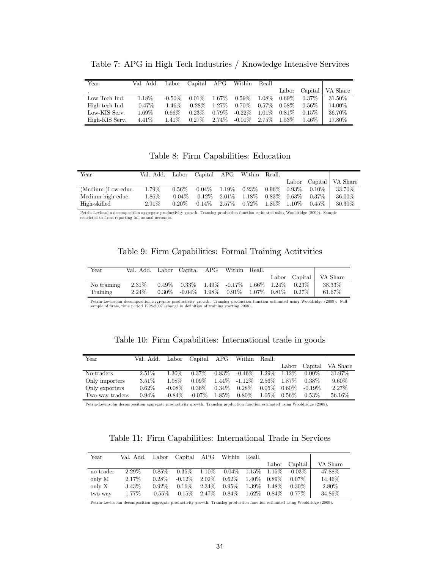| Year           | Val. Add. | Labor     | Capital APG |          | Within    | Reall    |          |          |          |
|----------------|-----------|-----------|-------------|----------|-----------|----------|----------|----------|----------|
|                |           |           |             |          |           |          | Labor    | Capital  | VA Share |
| Low Tech Ind.  | 1.18\%    | $-0.50\%$ | $0.01\%$    | $1.67\%$ | $0.59\%$  | 1.08%    | $0.69\%$ | $0.37\%$ | 31.50%   |
| High-tech Ind. | $-0.47\%$ | $-1.46\%$ | $-0.28\%$   | $1.27\%$ | 0.70\%    | $0.57\%$ | $0.58\%$ | $0.56\%$ | 14.00%   |
| Low-KIS Serv.  | 1.69%     | $0.66\%$  | $0.23\%$    | $0.79\%$ | $-0.22\%$ | 1.01\%   | $0.81\%$ | $0.15\%$ | 36.70\%  |
| High-KIS Serv. | $4.41\%$  | $1.41\%$  | $0.27\%$    | $2.74\%$ | -0.01%    | $2.75\%$ | $1.53\%$ | $0.46\%$ | 17.80%   |

Table 7: APG in High Tech Industries / Knowledge Intensive Services

## Table 8: Firm Capabilities: Education

| Year               | Val. Add. - |           | Labor Capital APG |            | Within Reall.  |                   |          |                    |
|--------------------|-------------|-----------|-------------------|------------|----------------|-------------------|----------|--------------------|
|                    |             |           |                   |            |                | Labor             |          | Capital   VA Share |
| (Medium-)Low-educ. | 1.79%       | $0.56\%$  | $0.04\%$          | $1.19\%$ . | $0.23\%$       | $0.96\%$ $0.93\%$ | $0.10\%$ | 33.70%             |
| Medium-high-educ.  | $1.86\%$    | $-0.04\%$ | $-0.12\%$         | $2.01\%$   | $1.18\%$       | $0.83\%$ 0.63\%   | $0.37\%$ | 36.00%             |
| High-skilled       | $2.91\%$    | $0.20\%$  | $0.14\%$          |            | $2.57\%$ 0.72% | $1.85\%$ $1.10\%$ | $0.45\%$ | 30.30\%            |

Petrin-Levinsohn decomposition aggregate productivity growth. Translog production function estimated using Wooldridge (2009). Sample restricted to firms reporting full annual accounts.

| Table 9: Firm Capabilities: Formal Training Actituities |  |  |  |
|---------------------------------------------------------|--|--|--|
|---------------------------------------------------------|--|--|--|

| Year        | Val. Add. Labor Capital APG Within Reall. |                                                     |  |  |                                                                 |                          |
|-------------|-------------------------------------------|-----------------------------------------------------|--|--|-----------------------------------------------------------------|--------------------------|
|             |                                           |                                                     |  |  |                                                                 | Labor Capital   VA Share |
| No training | $2.31\%$                                  |                                                     |  |  | $0.49\%$ $0.33\%$ $1.49\%$ $-0.17\%$ $1.66\%$ $1.24\%$ $0.23\%$ | $38.33\%$                |
| Training    | $2.24\%$                                  | $0.30\%$ -0.04\% 1.98\% 0.91\% 1.07\% 0.81\% 0.27\% |  |  |                                                                 | 61.67\%                  |

Petrin-Levinsohn decomposition aggregate productivity growth. Translog production function estimated using Wooldridge (2009). Full sample of firms, time period 1998-2007 (change in definition of training starting 2008)..

| Table 10: Firm Capabilities: International trade in goods |  |  |  |
|-----------------------------------------------------------|--|--|--|
|-----------------------------------------------------------|--|--|--|

| Year            | Val. Add. Labor Capital APG |           |           |          | Within     | - Reall. |           |           |                    |
|-----------------|-----------------------------|-----------|-----------|----------|------------|----------|-----------|-----------|--------------------|
|                 |                             |           |           |          |            |          | Labor     |           | Capital   VA Share |
| No-traders      | $2.51\%$                    | 1.30\%    | $0.37\%$  | $0.83\%$ | -0.46 $\%$ | $1.29\%$ | 1.12\%    | $0.00\%$  | 31.97%             |
| Only importers  | $3.51\%$                    | 1.98%     | $0.09\%$  | 1.44%    | -1.12 $\%$ | $2.56\%$ | 1.87%     | $0.38\%$  | $9.60\%$           |
| Only exporters  | $0.62\%$                    | $-0.08\%$ | $0.36\%$  | $0.34\%$ | $0.28\%$   | $0.05\%$ | $0.60\%$  | $-0.19\%$ | 2.27%              |
| Two-way traders | $0.94\%$                    | $-0.84\%$ | $-0.07\%$ | 1.85%    | $0.80\%$   | $1.05\%$ | $-0.56\%$ | $0.53\%$  | 56.16%             |

Petrin-Levinsohn decomposition aggregate productivity growth. Translog production function estimated using Wooldridge (2009).

Table 11: Firm Capabilities: International Trade in Services

| Year      | Val. Add. | Labor     | Capital   | $_{\rm{APG}}$ | Within Reall.   |          |                |           |          |
|-----------|-----------|-----------|-----------|---------------|-----------------|----------|----------------|-----------|----------|
|           |           |           |           |               |                 |          | $_{\rm Labor}$ | Capital   | VA Share |
| no-trader | $2.29\%$  | $0.85\%$  | $0.35\%$  | 1.10\%        | $-0.04\%$ 1.15% |          | 1.15%          | $-0.03\%$ | 47.88%   |
| only M    | 2.17\%    | $0.28\%$  | $-0.12\%$ | $2.02\%$      | $0.62\%$        | 1.40\%   | $0.89\%$       | $0.07\%$  | 14.46\%  |
| only X    | $3.43\%$  | $0.92\%$  | $0.16\%$  | 2.34\%        | $0.95\%$        | 1.39%    | 1.48\%         | $0.30\%$  | 2.80%    |
| two-way   | $1.77\%$  | $-0.55\%$ | $-0.15\%$ | $2.47\%$      | $0.84\%$        | $1.62\%$ | $0.84\%$       | $0.77\%$  | 34.86%   |

Petrin-Levinsohn decomposition aggregate productivity growth. Translog production function estimated using Wooldridge (2009).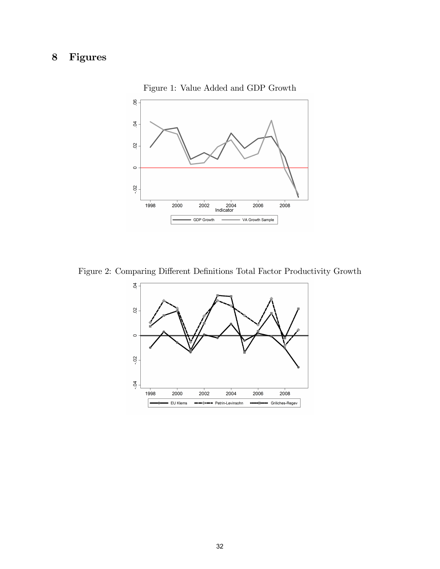# 8 Figures



Figure 1: Value Added and GDP Growth

Figure 2: Comparing Different Definitions Total Factor Productivity Growth

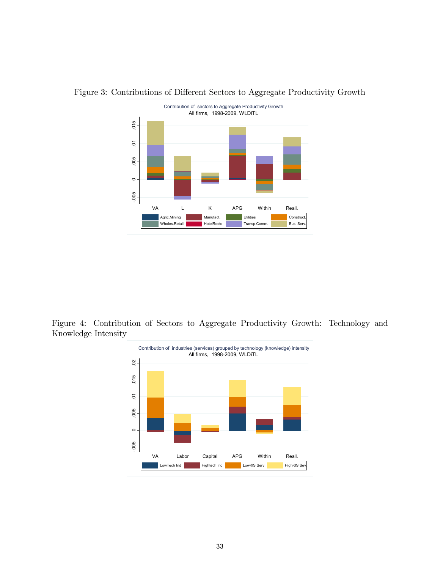

Figure 3: Contributions of Different Sectors to Aggregate Productivity Growth

Figure 4: Contribution of Sectors to Aggregate Productivity Growth: Technology and Knowledge Intensity

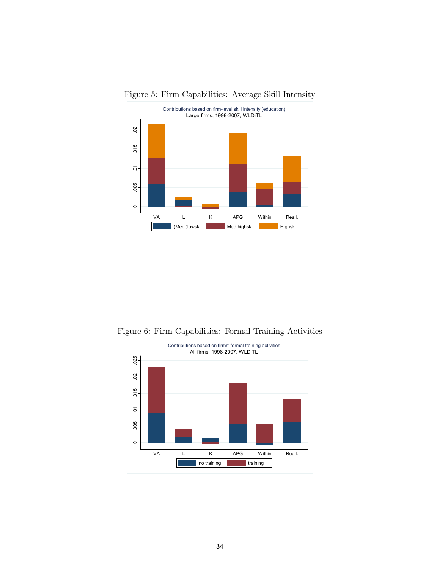

Figure 5: Firm Capabilities: Average Skill Intensity

Figure 6: Firm Capabilities: Formal Training Activities

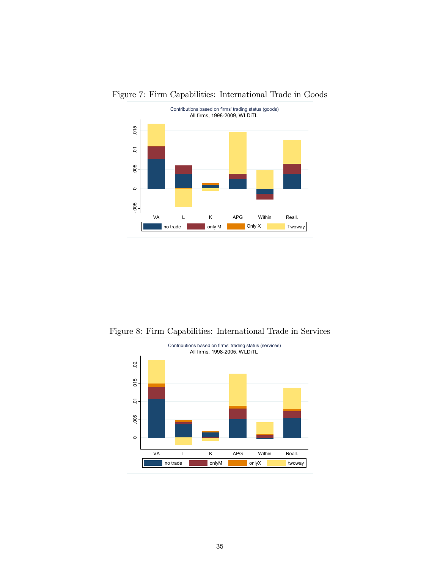

Figure 7: Firm Capabilities: International Trade in Goods

Figure 8: Firm Capabilities: International Trade in Services

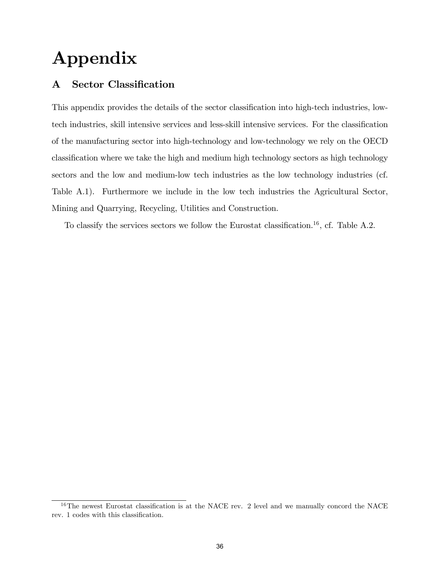# Appendix

# A Sector Classification

This appendix provides the details of the sector classification into high-tech industries, lowtech industries, skill intensive services and less-skill intensive services. For the classification of the manufacturing sector into high-technology and low-technology we rely on the OECD classiÖcation where we take the high and medium high technology sectors as high technology sectors and the low and medium-low tech industries as the low technology industries (cf. Table A.1). Furthermore we include in the low tech industries the Agricultural Sector, Mining and Quarrying, Recycling, Utilities and Construction.

To classify the services sectors we follow the Eurostat classification.<sup>16</sup>, cf. Table A.2.

 $16$ The newest Eurostat classification is at the NACE rev. 2 level and we manually concord the NACE rev. 1 codes with this classification.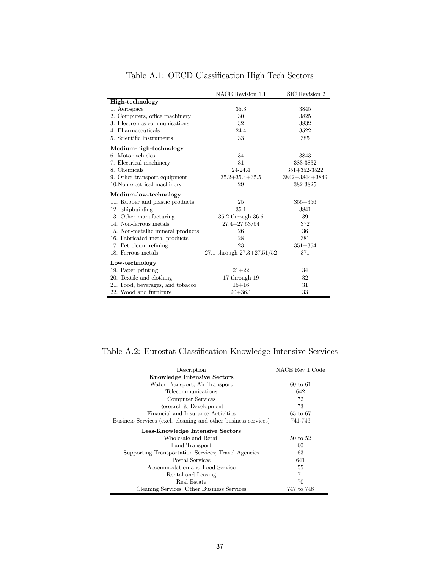|                                   | <b>NACE Revision 1.1</b>       | <b>ISIC</b> Revision 2 |
|-----------------------------------|--------------------------------|------------------------|
| High-technology                   |                                |                        |
| 1. Aerospace                      | 35.3                           | 3845                   |
| 2. Computers, office machinery    | 30                             | 3825                   |
| 3. Electronics-communications     | 32                             | 3832                   |
| 4. Pharmaceuticals                | 24.4                           | 3522                   |
| 5. Scientific instruments         | 33                             | 385                    |
| Medium-high-technology            |                                |                        |
| 6. Motor vehicles                 | 34                             | 3843                   |
| 7. Electrical machinery           | 31                             | 383-3832               |
| 8. Chemicals                      | 24-24.4                        | $351 + 352 - 3522$     |
| 9. Other transport equipment      | $35.2 + 35.4 + 35.5$           | 3842+3844+3849         |
| 10. Non-electrical machinery      | 29                             | 382-3825               |
| Medium-low-technology             |                                |                        |
| 11. Rubber and plastic products   | 25                             | $355 + 356$            |
| 12. Shipbuilding                  | 35.1                           | 3841                   |
| 13. Other manufacturing           | 36.2 through 36.6              | 39                     |
| 14. Non-ferrous metals            | $27.4 + 27.53/54$              | 372                    |
| 15. Non-metallic mineral products | 26                             | 36                     |
| 16. Fabricated metal products     | 28                             | 381                    |
| 17. Petroleum refining            | 23                             | $351 + 354$            |
| 18. Ferrous metals                | 27.1 through $27.3 + 27.51/52$ | 371                    |
| Low-technology                    |                                |                        |
| 19. Paper printing                | $21 + 22$                      | 34                     |
| 20. Textile and clothing          | 17 through 19                  | 32                     |
| 21. Food, beverages, and tobacco  | $15 + 16$                      | 31                     |
| 22. Wood and furniture            | $20 + 36.1$                    | 33                     |

Table A.1: OECD Classification High Tech Sectors

Table A.2: Eurostat Classification Knowledge Intensive Services

| Description                                                    | NACE Rev 1 Code     |
|----------------------------------------------------------------|---------------------|
| <b>Knowledge Intensive Sectors</b>                             |                     |
| Water Transport, Air Transport                                 | $60 \text{ to } 61$ |
| Telecommunications                                             | 642                 |
| Computer Services                                              | 72                  |
| Research & Development                                         | 73                  |
| Financial and Insurance Activities                             | 65 to 67            |
| Business Services (excl. cleaning and other business services) | 741-746             |
| Less-Knowledge Intensive Sectors                               |                     |
| Wholesale and Retail                                           | 50 to 52            |
| Land Transport                                                 | 60                  |
| Supporting Transportation Services: Travel Agencies            | 63                  |
| Postal Services                                                | 641                 |
| Accommodation and Food Service                                 | 55                  |
| Rental and Leasing                                             | 71                  |
| Real Estate                                                    | 70                  |
| Cleaning Services; Other Business Services                     | 747 to 748          |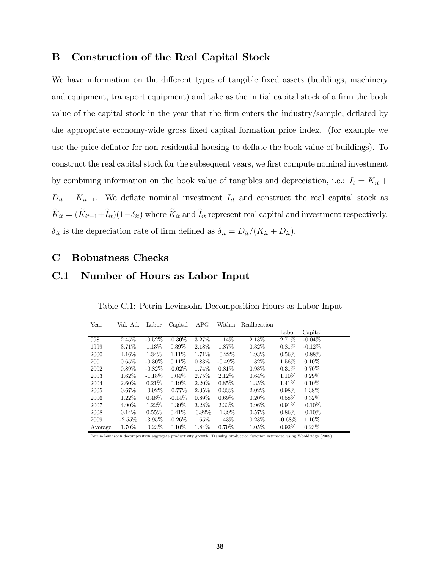# B Construction of the Real Capital Stock

We have information on the different types of tangible fixed assets (buildings, machinery and equipment, transport equipment) and take as the initial capital stock of a firm the book value of the capital stock in the year that the firm enters the industry/sample, deflated by the appropriate economy-wide gross Öxed capital formation price index. (for example we use the price deflator for non-residential housing to deflate the book value of buildings). To construct the real capital stock for the subsequent years, we first compute nominal investment by combining information on the book value of tangibles and depreciation, i.e.:  $I_t = K_{it} +$  $D_{it} - K_{it-1}$ . We deflate nominal investment  $I_{it}$  and construct the real capital stock as  $\widetilde{K}_{it} = (\widetilde{K}_{it-1} + \widetilde{I}_{it})(1-\delta_{it})$  where  $\widetilde{K}_{it}$  and  $\widetilde{I}_{it}$  represent real capital and investment respectively.  $\delta_{it}$  is the depreciation rate of firm defined as  $\delta_{it} = D_{it}/(K_{it} + D_{it}).$ 

### C Robustness Checks

# C.1 Number of Hours as Labor Input

| Year    | Val. Ad.  | Labor     | Capital   | APG       | Within    | Reallocation |           |           |
|---------|-----------|-----------|-----------|-----------|-----------|--------------|-----------|-----------|
|         |           |           |           |           |           |              | Labor     | Capital   |
| 998     | 2.45\%    | $-0.52\%$ | $-0.30\%$ | 3.27%     | 1.14\%    | 2.13%        | 2.71%     | $-0.04\%$ |
| 1999    | 3.71\%    | 1.13%     | $0.39\%$  | 2.18%     | 1.87%     | $0.32\%$     | $0.81\%$  | $-0.12\%$ |
| 2000    | 4.16%     | 1.34\%    | $1.11\%$  | 1.71%     | $-0.22\%$ | 1.93%        | $0.56\%$  | $-0.88\%$ |
| 2001    | 0.65%     | $-0.30\%$ | $0.11\%$  | $0.83\%$  | $-0.49%$  | 1.32\%       | $1.56\%$  | $0.10\%$  |
| 2002    | $0.89\%$  | $-0.82\%$ | $-0.02\%$ | 1.74%     | 0.81%     | $0.93\%$     | $0.31\%$  | $0.70\%$  |
| 2003    | $1.62\%$  | $-1.18\%$ | $0.04\%$  | 2.75%     | 2.12%     | $0.64\%$     | 1.10%     | $0.29\%$  |
| 2004    | $2.60\%$  | 0.21%     | $0.19\%$  | $2.20\%$  | $0.85\%$  | $1.35\%$     | $1.41\%$  | $0.10\%$  |
| 2005    | $0.67\%$  | $-0.92\%$ | $-0.77\%$ | 2.35%     | $0.33\%$  | $2.02\%$     | $0.98\%$  | 1.38%     |
| 2006    | $1.22\%$  | $0.48\%$  | $-0.14%$  | $0.89\%$  | $0.69\%$  | $0.20\%$     | $0.58\%$  | $0.32\%$  |
| 2007    | 4.90%     | $1.22\%$  | $0.39\%$  | 3.28%     | $2.33\%$  | $0.96\%$     | $0.91\%$  | $-0.10\%$ |
| 2008    | 0.14%     | $0.55\%$  | 0.41%     | $-0.82\%$ | $-1.39\%$ | $0.57\%$     | $0.86\%$  | $-0.10\%$ |
| 2009    | $-2.55\%$ | $-3.95\%$ | $-0.26\%$ | 1.65%     | 1.43%     | $0.23\%$     | $-0.68\%$ | $1.16\%$  |
| Average | 1.70%     | $-0.23%$  | $0.10\%$  | 1.84%     | $0.79\%$  | 1.05%        | $0.92\%$  | 0.23%     |

Table C.1: Petrin-Levinsohn Decomposition Hours as Labor Input

Petrin-Levinsohn decomposition aggregate productivity growth. Translog production function estimated using Wooldridge (2009).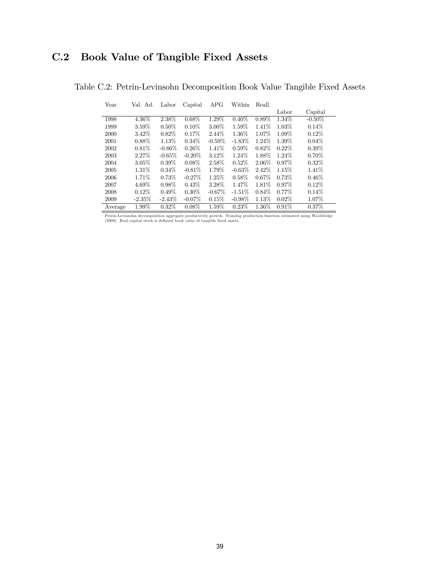# C.2 Book Value of Tangible Fixed Assets

Table C.2: Petrin-Levinsohn Decomposition Book Value Tangible Fixed Assets

| Year    | Val. Ad. | Labor     | Capital   | $_{\rm{APG}}$ | Within    | Reall.   |          |           |
|---------|----------|-----------|-----------|---------------|-----------|----------|----------|-----------|
|         |          |           |           |               |           |          | Labor    | Capital   |
| 1998    | 4.36%    | 2.38%     | $0.68\%$  | 1.29%         | 0.40%     | $0.89\%$ | 1.34%    | $-0.50\%$ |
| 1999    | $3.59\%$ | $0.50\%$  | 0.10%     | 3.00%         | $1.59\%$  | 1.41\%   | 1.03%    | $0.14\%$  |
| 2000    | 3.42\%   | $0.82\%$  | 0.17%     | 2.44\%        | 1.36%     | 1.07\%   | 1.09%    | $0.12\%$  |
| 2001    | $0.88\%$ | 1.13%     | $0.34\%$  | $-0.59%$      | $-1.83%$  | 1.24\%   | 1.39%    | $0.04\%$  |
| 2002    | 0.81%    | $-0.86\%$ | $0.26\%$  | 1.41\%        | $0.59\%$  | $0.82\%$ | $0.22\%$ | $0.39\%$  |
| 2003    | 2.27%    | $-0.65\%$ | $-0.20\%$ | 3.12%         | $1.24\%$  | 1.88%    | 1.24\%   | $0.70\%$  |
| 2004    | 3.05%    | $0.39\%$  | $0.08\%$  | 2.58%         | 0.52%     | 2.06%    | $0.97\%$ | $0.32\%$  |
| 2005    | 1.31\%   | $0.34\%$  | $-0.81\%$ | 1.79%         | $-0.63\%$ | 2.42\%   | 1.15\%   | $1.41\%$  |
| 2006    | 1.71\%   | 0.73%     | $-0.27%$  | $1.25\%$      | $0.58\%$  | 0.67%    | 0.73%    | $0.46\%$  |
| 2007    | 4.69%    | $0.98\%$  | 0.43%     | 3.28%         | 1.47%     | 1.81\%   | $0.97\%$ | 0.12%     |
| 2008    | $0.12\%$ | $0.49\%$  | $0.30\%$  | $-0.67\%$     | $-1.51%$  | $0.84\%$ | $0.77\%$ | $0.14\%$  |
| 2009    | $-2.35%$ | $-2.43\%$ | $-0.07\%$ | 0.15%         | $-0.98\%$ | 1.13%    | $0.02\%$ | 1.07%     |
| Average | $1.99\%$ | $0.32\%$  | 0.08%     | $1.59\%$      | 0.23%     | 1.36%    | 0.91%    | 0.37%     |

Petrin-Levinsohn decomposition aggregate productivity growth. Translog production function estimated using Wooldridge (2009). Real capital stock is deáated book value of tangible Öxed assets.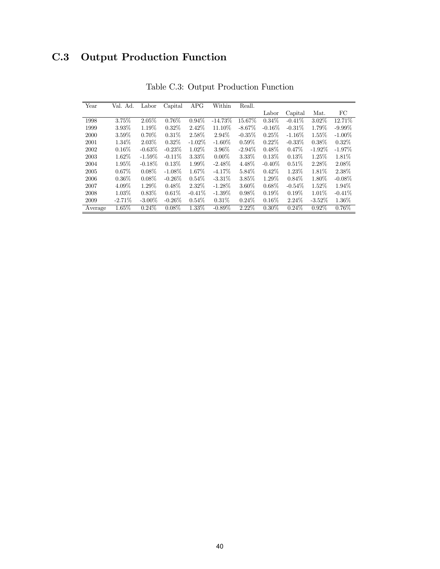# C.3 Output Production Function

| Year    | Val. Ad.  | Labor     | Capital   | APG       | Within    | Reall.    |           |           |           |           |
|---------|-----------|-----------|-----------|-----------|-----------|-----------|-----------|-----------|-----------|-----------|
|         |           |           |           |           |           |           | Labor     | Capital   | Mat.      | FC        |
| 1998    | 3.75%     | $2.05\%$  | $0.76\%$  | $0.94\%$  | $-14.73%$ | $15.67\%$ | $0.34\%$  | $-0.41\%$ | 3.02%     | 12.71\%   |
| 1999    | 3.93%     | 1.19%     | $0.32\%$  | 2.42%     | 11.10%    | $-8.67\%$ | $-0.16\%$ | $-0.31\%$ | 1.79%     | $-9.99\%$ |
| 2000    | 3.59%     | $0.70\%$  | $0.31\%$  | 2.58%     | 2.94\%    | $-0.35%$  | 0.25%     | $-1.16\%$ | $1.55\%$  | $-1.00\%$ |
| 2001    | 1.34\%    | 2.03%     | $0.32\%$  | $-1.02\%$ | $-1.60\%$ | $0.59\%$  | $0.22\%$  | $-0.33\%$ | $0.38\%$  | $0.32\%$  |
| 2002    | 0.16%     | $-0.63%$  | $-0.23%$  | $1.02\%$  | 3.96%     | $-2.94\%$ | $0.48\%$  | $0.47\%$  | $-1.92\%$ | $-1.97\%$ |
| 2003    | $1.62\%$  | $-1.59\%$ | $-0.11\%$ | 3.33%     | $0.00\%$  | 3.33%     | 0.13%     | 0.13%     | 1.25%     | $1.81\%$  |
| 2004    | 1.95%     | $-0.18%$  | 0.13%     | 1.99%     | $-2.48%$  | 4.48\%    | $-0.40\%$ | 0.51%     | 2.28%     | 2.08%     |
| 2005    | $0.67\%$  | $0.08\%$  | $-1.08\%$ | 1.67%     | $-4.17\%$ | 5.84%     | $0.42\%$  | 1.23%     | $1.81\%$  | 2.38\%    |
| 2006    | $0.36\%$  | $0.08\%$  | $-0.26\%$ | $0.54\%$  | $-3.31%$  | 3.85%     | 1.29%     | $0.84\%$  | 1.80%     | $-0.08\%$ |
| 2007    | 4.09%     | 1.29%     | $0.48\%$  | 2.32%     | $-1.28\%$ | 3.60%     | $0.68\%$  | $-0.54\%$ | 1.52%     | 1.94\%    |
| 2008    | 1.03%     | 0.83%     | 0.61%     | $-0.41%$  | $-1.39\%$ | $0.98\%$  | $0.19\%$  | $0.19\%$  | 1.01%     | $-0.41\%$ |
| 2009    | $-2.71\%$ | $-3.00\%$ | $-0.26\%$ | $0.54\%$  | $0.31\%$  | $0.24\%$  | $0.16\%$  | $2.24\%$  | $-3.52\%$ | $1.36\%$  |
| Average | $1.65\%$  | $0.24\%$  | $0.08\%$  | $1.33\%$  | $-0.89%$  | 2.22%     | $0.30\%$  | $0.24\%$  | $0.92\%$  | 0.76%     |

Table C.3: Output Production Function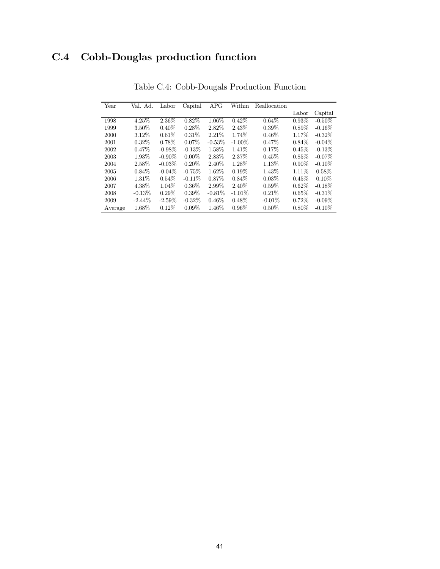# C.4 Cobb-Douglas production function

| Year    | Val. Ad.  | Labor     | $\overline{\text{Capital}}$ | APG       | Within    | Reallocation |          |           |
|---------|-----------|-----------|-----------------------------|-----------|-----------|--------------|----------|-----------|
|         |           |           |                             |           |           |              | Labor    | Capital   |
| 1998    | 4.25%     | 2.36%     | $0.82\%$                    | $1.06\%$  | $0.42\%$  | 0.64%        | $0.93\%$ | $-0.50\%$ |
| 1999    | 3.50%     | $0.40\%$  | $0.28\%$                    | 2.82%     | 2.43%     | $0.39\%$     | $0.89\%$ | $-0.16\%$ |
| 2000    | 3.12\%    | 0.61%     | $0.31\%$                    | 2.21%     | 1.74%     | $0.46\%$     | 1.17\%   | $-0.32\%$ |
| 2001    | $0.32\%$  | $0.78\%$  | $0.07\%$                    | $-0.53%$  | $-1.00\%$ | 0.47%        | $0.84\%$ | $-0.04\%$ |
| 2002    | $0.47\%$  | $-0.98\%$ | $-0.13%$                    | 1.58%     | 1.41\%    | 0.17%        | 0.45%    | $-0.13%$  |
| 2003    | 1.93%     | $-0.90\%$ | $0.00\%$                    | 2.83%     | 2.37%     | 0.45%        | 0.85%    | $-0.07\%$ |
| 2004    | 2.58%     | $-0.03\%$ | $0.20\%$                    | $2.40\%$  | 1.28%     | 1.13%        | $0.90\%$ | $-0.10\%$ |
| 2005    | $0.84\%$  | $-0.04\%$ | $-0.75\%$                   | 1.62%     | 0.19%     | 1.43%        | 1.11\%   | $0.58\%$  |
| 2006    | $1.31\%$  | $0.54\%$  | $-0.11\%$                   | $0.87\%$  | $0.84\%$  | 0.03%        | 0.45%    | $0.10\%$  |
| 2007    | 4.38%     | 1.04\%    | $0.36\%$                    | 2.99%     | $2.40\%$  | $0.59\%$     | $0.62\%$ | $-0.18%$  |
| 2008    | $-0.13%$  | $0.29\%$  | $0.39\%$                    | $-0.81\%$ | $-1.01%$  | 0.21%        | $0.65\%$ | $-0.31\%$ |
| 2009    | $-2.44\%$ | $-2.59\%$ | $-0.32\%$                   | $0.46\%$  | $0.48\%$  | $-0.01\%$    | $0.72\%$ | $-0.09\%$ |
| Average | 1.68%     | $0.12\%$  | $0.09\%$                    | 1.46\%    | $0.96\%$  | 0.50%        | $0.80\%$ | $-0.10\%$ |

Table C.4: Cobb-Dougals Production Function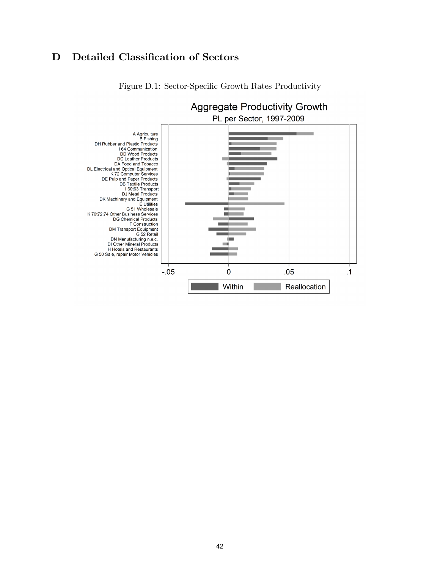# D Detailed Classification of Sectors



Figure D.1: Sector-Specific Growth Rates Productivity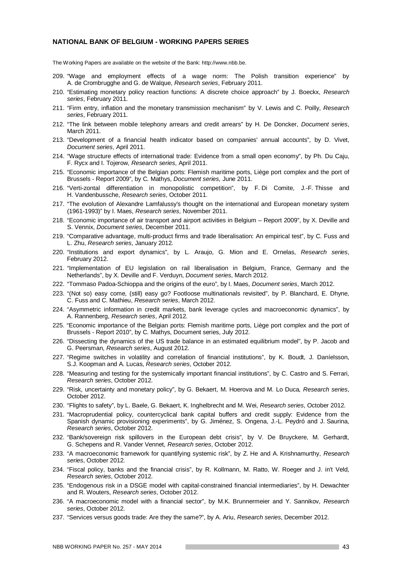#### **NATIONAL BANK OF BELGIUM - WORKING PAPERS SERIES**

The Working Papers are available on the website of the Bank: http://www.nbb.be.

- 209. "Wage and employment effects of a wage norm: The Polish transition experience" by A. de Crombrugghe and G. de Walque, *Research series*, February 2011.
- 210. "Estimating monetary policy reaction functions: A discrete choice approach" by J. Boeckx, *Research series*, February 2011.
- 211. "Firm entry, inflation and the monetary transmission mechanism" by V. Lewis and C. Poilly, *Research series*, February 2011.
- 212. "The link between mobile telephony arrears and credit arrears" by H. De Doncker, *Document series*, March 2011.
- 213. "Development of a financial health indicator based on companies' annual accounts", by D. Vivet, *Document series*, April 2011.
- 214. "Wage structure effects of international trade: Evidence from a small open economy", by Ph. Du Caju, F. Rycx and I. Tojerow, *Research series*, April 2011.
- 215. "Economic importance of the Belgian ports: Flemish maritime ports, Liège port complex and the port of Brussels - Report 2009", by C. Mathys, *Document series,* June 2011.
- 216. "Verti-zontal differentiation in monopolistic competition", by F. Di Comite, J.-F. Thisse and H. Vandenbussche, *Research series*, October 2011.
- 217. "The evolution of Alexandre Lamfalussy's thought on the international and European monetary system (1961-1993)" by I. Maes, *Research series*, November 2011.
- 218. "Economic importance of air transport and airport activities in Belgium Report 2009", by X. Deville and S. Vennix, *Document series*, December 2011.
- 219. "Comparative advantage, multi-product firms and trade liberalisation: An empirical test", by C. Fuss and L. Zhu, *Research series*, January 2012.
- 220. "Institutions and export dynamics", by L. Araujo, G. Mion and E. Ornelas, *Research series*, February 2012.
- 221. "Implementation of EU legislation on rail liberalisation in Belgium, France, Germany and the Netherlands", by X. Deville and F. Verduyn, *Document series*, March 2012.
- 222. "Tommaso Padoa-Schioppa and the origins of the euro", by I. Maes, *Document series*, March 2012.
- 223. "(Not so) easy come, (still) easy go? Footloose multinationals revisited", by P. Blanchard, E. Dhyne, C. Fuss and C. Mathieu, *Research series*, March 2012.
- 224. "Asymmetric information in credit markets, bank leverage cycles and macroeconomic dynamics", by A. Rannenberg, *Research series*, April 2012.
- 225. "Economic importance of the Belgian ports: Flemish maritime ports, Liège port complex and the port of Brussels - Report 2010", by C. Mathys, Document series, July 2012.
- 226. "Dissecting the dynamics of the US trade balance in an estimated equilibrium model", by P. Jacob and G. Peersman, *Research series*, August 2012.
- 227. "Regime switches in volatility and correlation of financial institutions", by K. Boudt, J. Daníelsson, S.J. Koopman and A. Lucas, *Research series*, October 2012.
- 228. "Measuring and testing for the systemically important financial institutions", by C. Castro and S. Ferrari, *Research series*, October 2012.
- 229. "Risk, uncertainty and monetary policy", by G. Bekaert, M. Hoerova and M. Lo Duca*, Research series*, October 2012.
- 230. "Flights to safety", by L. Baele, G. Bekaert, K. Inghelbrecht and M. Wei, *Research series*, October 2012.
- 231. "Macroprudential policy, countercyclical bank capital buffers and credit supply: Evidence from the Spanish dynamic provisioning experiments", by G. Jiménez, S. Ongena, J.-L. Peydró and J. Saurina, *Research series*, October 2012.
- 232. "Bank/sovereign risk spillovers in the European debt crisis", by V. De Bruyckere, M. Gerhardt, G. Schepens and R. Vander Vennet, *Research series*, October 2012.
- 233. "A macroeconomic framework for quantifying systemic risk", by Z. He and A. Krishnamurthy, *Research series*, October 2012.
- 234. "Fiscal policy, banks and the financial crisis", by R. Kollmann, M. Ratto, W. Roeger and J. in't Veld, *Research series*, October 2012.
- 235. "Endogenous risk in a DSGE model with capital-constrained financial intermediaries", by H. Dewachter and R. Wouters, *Research series*, October 2012.
- 236. "A macroeconomic model with a financial sector", by M.K. Brunnermeier and Y. Sannikov, *Research series*, October 2012.
- 237. "Services versus goods trade: Are they the same?", by A. Ariu, *Research series*, December 2012.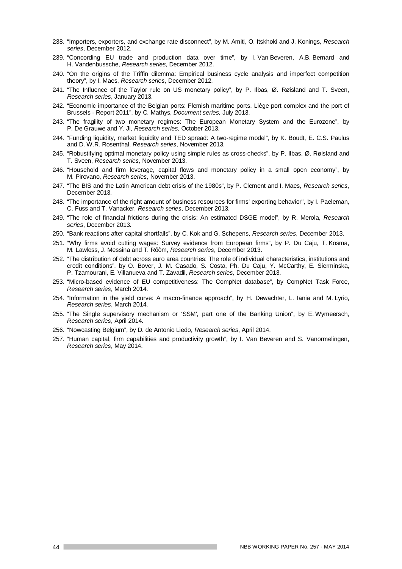- 238. "Importers, exporters, and exchange rate disconnect", by M. Amiti, O. Itskhoki and J. Konings, *Research series*, December 2012.
- 239. "Concording EU trade and production data over time", by I. Van Beveren, A.B. Bernard and H. Vandenbussche, *Research series*, December 2012.
- 240. "On the origins of the Triffin dilemma: Empirical business cycle analysis and imperfect competition theory", by I. Maes, *Research series*, December 2012.
- 241. "The Influence of the Taylor rule on US monetary policy", by P. Ilbas, Ø. Røisland and T. Sveen, *Research series*, January 2013.
- 242. "Economic importance of the Belgian ports: Flemish maritime ports, Liège port complex and the port of Brussels - Report 2011", by C. Mathys, *Document series,* July 2013.
- 243. "The fragility of two monetary regimes: The European Monetary System and the Eurozone", by P. De Grauwe and Y. Ji, *Research series*, October 2013.
- 244. "Funding liquidity, market liquidity and TED spread: A two-regime model", by K. Boudt, E. C.S. Paulus and D. W.R. Rosenthal, *Research series*, November 2013.
- 245. "Robustifying optimal monetary policy using simple rules as cross-checks", by P. Ilbas, Ø. Røisland and T. Sveen, *Research series*, November 2013.
- 246. "Household and firm leverage, capital flows and monetary policy in a small open economy", by M. Pirovano, *Research series*, November 2013.
- 247. "The BIS and the Latin American debt crisis of the 1980s", by P. Clement and I. Maes, *Research series*, December 2013.
- 248. "The importance of the right amount of business resources for firms' exporting behavior", by I. Paeleman, C. Fuss and T. Vanacker, *Research series*, December 2013.
- 249. "The role of financial frictions during the crisis: An estimated DSGE model", by R. Merola, *Research series*, December 2013.
- 250. "Bank reactions after capital shortfalls", by C. Kok and G. Schepens, *Research series*, December 2013.
- 251. "Why firms avoid cutting wages: Survey evidence from European firms", by P. Du Caju, T. Kosma, M. Lawless, J. Messina and T. Rõõm, *Research series*, December 2013.
- 252. "The distribution of debt across euro area countries: The role of individual characteristics, institutions and credit conditions", by O. Bover, J. M. Casado, S. Costa, Ph. Du Caju, Y. McCarthy, E. Sierminska, P. Tzamourani, E. Villanueva and T. Zavadil, *Research series*, December 2013.
- 253. "Micro-based evidence of EU competitiveness: The CompNet database", by CompNet Task Force, *Research series*, March 2014.
- 254. "Information in the yield curve: A macro-finance approach", by H. Dewachter, L. Iania and M. Lyrio, *Research series*, March 2014.
- 255. "The Single supervisory mechanism or 'SSM', part one of the Banking Union", by E. Wymeersch, *Research series*, April 2014.
- 256. "Nowcasting Belgium", by D. de Antonio Liedo, *Research series*, April 2014.
- 257. "Human capital, firm capabilities and productivity growth", by I. Van Beveren and S. Vanormelingen, *Research series*, May 2014.